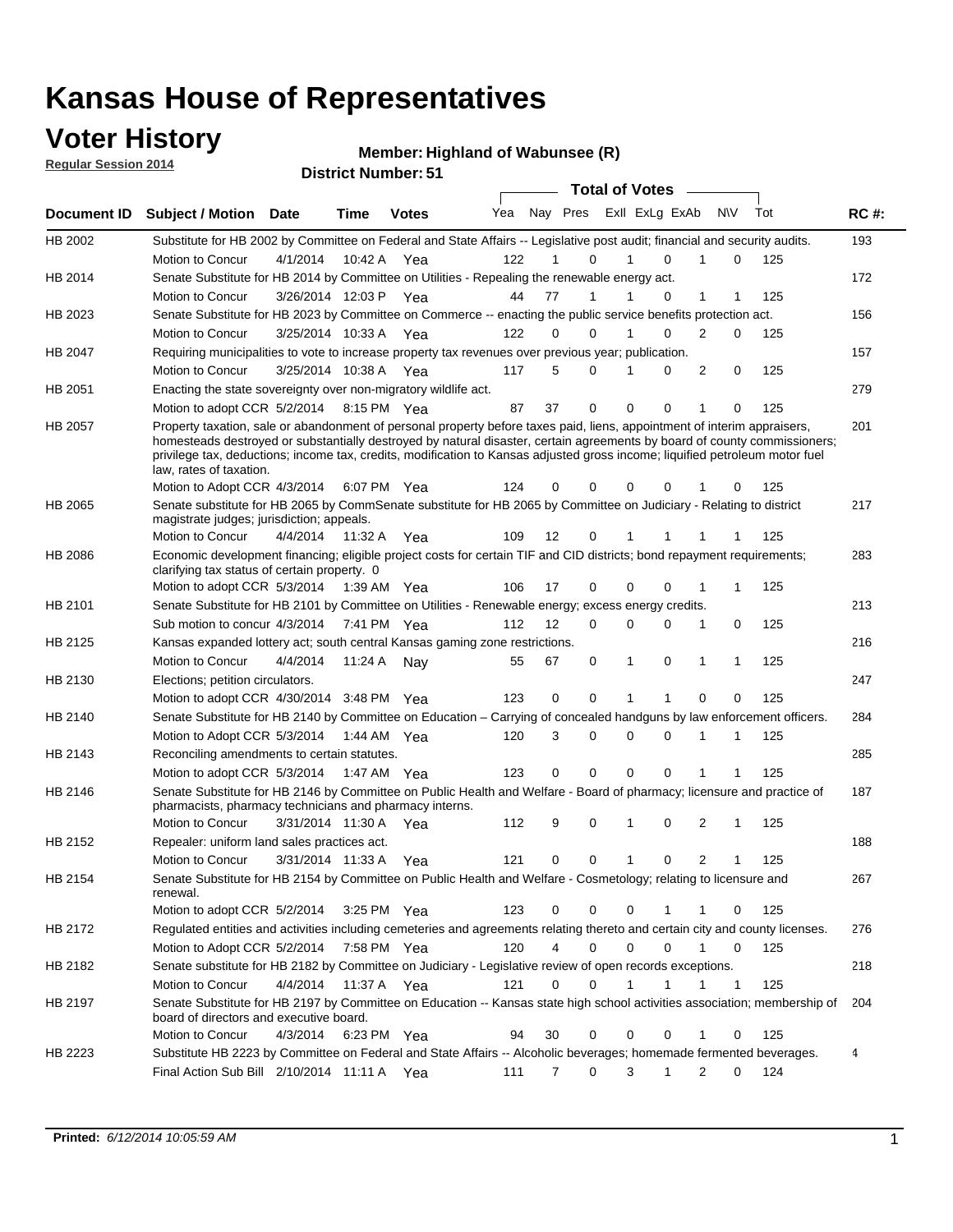### **Voter History**

**Regular Session 2014**

#### **Highland of Wabunsee (R)**

|                | <b>DISTRICT MAILINGLES</b><br><b>Total of Votes</b>                                                                                                                                                                                                                                                                                                                                                                                              |                       |             |              |     |                   |                  |  |             |                |                  |     |  |             |
|----------------|--------------------------------------------------------------------------------------------------------------------------------------------------------------------------------------------------------------------------------------------------------------------------------------------------------------------------------------------------------------------------------------------------------------------------------------------------|-----------------------|-------------|--------------|-----|-------------------|------------------|--|-------------|----------------|------------------|-----|--|-------------|
|                | Document ID Subject / Motion                                                                                                                                                                                                                                                                                                                                                                                                                     | <b>Date</b>           | Time        | <b>Votes</b> | Yea |                   | Nay Pres         |  |             | Exll ExLg ExAb | <b>NV</b>        | Tot |  | <b>RC#:</b> |
| HB 2002        | Substitute for HB 2002 by Committee on Federal and State Affairs -- Legislative post audit; financial and security audits.                                                                                                                                                                                                                                                                                                                       |                       |             |              |     |                   |                  |  |             |                |                  |     |  | 193         |
|                | Motion to Concur                                                                                                                                                                                                                                                                                                                                                                                                                                 | 4/1/2014              |             | 10:42 A Yea  | 122 |                   | 0                |  |             | $\Omega$       | 0                | 125 |  |             |
| HB 2014        | Senate Substitute for HB 2014 by Committee on Utilities - Repealing the renewable energy act.                                                                                                                                                                                                                                                                                                                                                    |                       |             |              |     |                   |                  |  |             |                |                  |     |  | 172         |
|                | Motion to Concur                                                                                                                                                                                                                                                                                                                                                                                                                                 | 3/26/2014 12:03 P Yea |             |              | 44  | 77                | 1                |  |             | 0              | 1<br>1           | 125 |  |             |
| HB 2023        | Senate Substitute for HB 2023 by Committee on Commerce -- enacting the public service benefits protection act.                                                                                                                                                                                                                                                                                                                                   |                       |             |              |     |                   |                  |  |             |                |                  |     |  | 156         |
|                | Motion to Concur                                                                                                                                                                                                                                                                                                                                                                                                                                 | 3/25/2014 10:33 A Yea |             |              | 122 | $\Omega$          | 0                |  |             | $\Omega$       | 2<br>0           | 125 |  |             |
| HB 2047        | Requiring municipalities to vote to increase property tax revenues over previous year; publication.                                                                                                                                                                                                                                                                                                                                              |                       |             |              |     |                   |                  |  |             |                |                  |     |  | 157         |
|                | Motion to Concur                                                                                                                                                                                                                                                                                                                                                                                                                                 | 3/25/2014 10:38 A     |             | Yea          | 117 | 5                 | 0                |  |             | 0              | 2<br>0           | 125 |  |             |
| HB 2051        | Enacting the state sovereignty over non-migratory wildlife act.                                                                                                                                                                                                                                                                                                                                                                                  |                       |             |              |     |                   |                  |  |             |                |                  |     |  | 279         |
|                | Motion to adopt CCR 5/2/2014                                                                                                                                                                                                                                                                                                                                                                                                                     |                       |             | 8:15 PM Yea  | 87  | 37                | 0                |  | $\Omega$    | 0<br>1         | 0                | 125 |  |             |
| HB 2057        | Property taxation, sale or abandonment of personal property before taxes paid, liens, appointment of interim appraisers,<br>homesteads destroyed or substantially destroyed by natural disaster, certain agreements by board of county commissioners;<br>privilege tax, deductions; income tax, credits, modification to Kansas adjusted gross income; liquified petroleum motor fuel<br>law, rates of taxation.<br>Motion to Adopt CCR 4/3/2014 |                       |             | 6:07 PM Yea  | 124 | 0                 | 0                |  | 0           | 0              | 0                | 125 |  | 201         |
| <b>HB 2065</b> | Senate substitute for HB 2065 by CommSenate substitute for HB 2065 by Committee on Judiciary - Relating to district                                                                                                                                                                                                                                                                                                                              |                       |             |              |     |                   |                  |  |             |                |                  |     |  | 217         |
|                | magistrate judges; jurisdiction; appeals.                                                                                                                                                                                                                                                                                                                                                                                                        |                       |             |              |     |                   |                  |  |             |                |                  |     |  |             |
|                | Motion to Concur                                                                                                                                                                                                                                                                                                                                                                                                                                 | 4/4/2014 11:32 A Yea  |             |              | 109 | $12 \overline{ }$ | $\mathbf 0$      |  | 1           | 1<br>-1        | -1               | 125 |  |             |
| HB 2086        | Economic development financing; eligible project costs for certain TIF and CID districts; bond repayment requirements;<br>clarifying tax status of certain property. 0                                                                                                                                                                                                                                                                           |                       |             |              |     |                   |                  |  |             |                |                  |     |  | 283         |
|                | Motion to adopt CCR 5/3/2014                                                                                                                                                                                                                                                                                                                                                                                                                     |                       | 1:39 AM Yea |              | 106 | 17                | 0                |  | 0           | 0<br>1         | 1                | 125 |  |             |
| HB 2101        | Senate Substitute for HB 2101 by Committee on Utilities - Renewable energy; excess energy credits.                                                                                                                                                                                                                                                                                                                                               |                       |             |              |     |                   |                  |  |             |                |                  |     |  | 213         |
|                | Sub motion to concur 4/3/2014                                                                                                                                                                                                                                                                                                                                                                                                                    |                       |             | 7:41 PM Yea  | 112 | $12 \overline{ }$ | 0                |  | 0           | 0              | 0<br>1           | 125 |  |             |
| HB 2125        | Kansas expanded lottery act; south central Kansas gaming zone restrictions.                                                                                                                                                                                                                                                                                                                                                                      |                       |             |              |     |                   |                  |  |             |                |                  |     |  | 216         |
|                | Motion to Concur                                                                                                                                                                                                                                                                                                                                                                                                                                 | 4/4/2014              | 11:24 A     | Nav          | 55  | 67                | 0                |  | 1           | 0              | 1<br>$\mathbf 1$ | 125 |  |             |
| HB 2130        | Elections; petition circulators.                                                                                                                                                                                                                                                                                                                                                                                                                 |                       |             |              |     |                   |                  |  |             |                |                  |     |  | 247         |
|                | Motion to adopt CCR 4/30/2014 3:48 PM Yea                                                                                                                                                                                                                                                                                                                                                                                                        |                       |             |              | 123 | 0                 | 0                |  | 1           | 1              | $\mathbf 0$<br>0 | 125 |  |             |
| HB 2140        | Senate Substitute for HB 2140 by Committee on Education – Carrying of concealed handguns by law enforcement officers.                                                                                                                                                                                                                                                                                                                            |                       |             |              |     |                   |                  |  |             |                |                  |     |  | 284         |
|                | Motion to Adopt CCR 5/3/2014                                                                                                                                                                                                                                                                                                                                                                                                                     |                       |             | 1:44 AM Yea  | 120 |                   | 3<br>0           |  | 0           | 0<br>1         | 1                | 125 |  |             |
| HB 2143        | Reconciling amendments to certain statutes.                                                                                                                                                                                                                                                                                                                                                                                                      |                       |             |              |     |                   |                  |  |             |                |                  |     |  | 285         |
|                | Motion to adopt CCR 5/3/2014                                                                                                                                                                                                                                                                                                                                                                                                                     |                       |             | 1:47 AM Yea  | 123 | 0                 | 0                |  | 0           | 0<br>1         | 1                | 125 |  |             |
| HB 2146        | Senate Substitute for HB 2146 by Committee on Public Health and Welfare - Board of pharmacy; licensure and practice of<br>pharmacists, pharmacy technicians and pharmacy interns.                                                                                                                                                                                                                                                                |                       |             |              |     |                   |                  |  |             |                |                  |     |  | 187         |
|                | Motion to Concur                                                                                                                                                                                                                                                                                                                                                                                                                                 | 3/31/2014 11:30 A     |             | Yea          | 112 | 9                 | 0                |  | 1           | $\mathbf 0$    | 2<br>1           | 125 |  |             |
| <b>HB 2152</b> | Repealer: uniform land sales practices act.                                                                                                                                                                                                                                                                                                                                                                                                      |                       |             |              |     |                   |                  |  |             |                |                  |     |  | 188         |
|                | <b>Motion to Concur</b>                                                                                                                                                                                                                                                                                                                                                                                                                          | 3/31/2014 11:33 A     |             | Yea          | 121 | 0                 | 0                |  | 1           | 0              | 2<br>1           | 125 |  |             |
| HB 2154        | Senate Substitute for HB 2154 by Committee on Public Health and Welfare - Cosmetology; relating to licensure and<br>renewal.                                                                                                                                                                                                                                                                                                                     |                       |             |              |     |                   |                  |  |             |                |                  |     |  | 267         |
|                | Motion to adopt CCR 5/2/2014 3:25 PM Yea                                                                                                                                                                                                                                                                                                                                                                                                         |                       |             |              | 123 | 0                 | $\Omega$         |  | 0           |                | 0                | 125 |  |             |
| HB 2172        | Regulated entities and activities including cemeteries and agreements relating thereto and certain city and county licenses.                                                                                                                                                                                                                                                                                                                     |                       |             |              |     |                   |                  |  |             |                |                  |     |  | 276         |
|                | Motion to Adopt CCR 5/2/2014                                                                                                                                                                                                                                                                                                                                                                                                                     |                       | 7:58 PM Yea |              | 120 |                   | 4<br>$\mathbf 0$ |  | $\mathbf 0$ | $\mathbf 0$    | 1<br>0           | 125 |  |             |
| HB 2182        | Senate substitute for HB 2182 by Committee on Judiciary - Legislative review of open records exceptions.                                                                                                                                                                                                                                                                                                                                         |                       |             |              |     |                   |                  |  |             |                |                  |     |  | 218         |
|                | Motion to Concur                                                                                                                                                                                                                                                                                                                                                                                                                                 | 4/4/2014 11:37 A Yea  |             |              | 121 | 0                 | $\mathbf 0$      |  | 1           | 1              | 1<br>$\mathbf 1$ | 125 |  |             |
| HB 2197        | Senate Substitute for HB 2197 by Committee on Education -- Kansas state high school activities association; membership of<br>board of directors and executive board.                                                                                                                                                                                                                                                                             |                       |             |              |     |                   |                  |  |             |                |                  |     |  | 204         |
|                | Motion to Concur                                                                                                                                                                                                                                                                                                                                                                                                                                 | 4/3/2014              |             | 6:23 PM Yea  | 94  | 30                | 0                |  | 0           | 0              | 1<br>0           | 125 |  |             |
| HB 2223        | Substitute HB 2223 by Committee on Federal and State Affairs -- Alcoholic beverages; homemade fermented beverages.                                                                                                                                                                                                                                                                                                                               |                       |             |              |     |                   |                  |  |             |                |                  |     |  | 4           |
|                | Final Action Sub Bill 2/10/2014 11:11 A Yea                                                                                                                                                                                                                                                                                                                                                                                                      |                       |             |              | 111 | 7                 | 0                |  | 3           | 1              | 2<br>0           | 124 |  |             |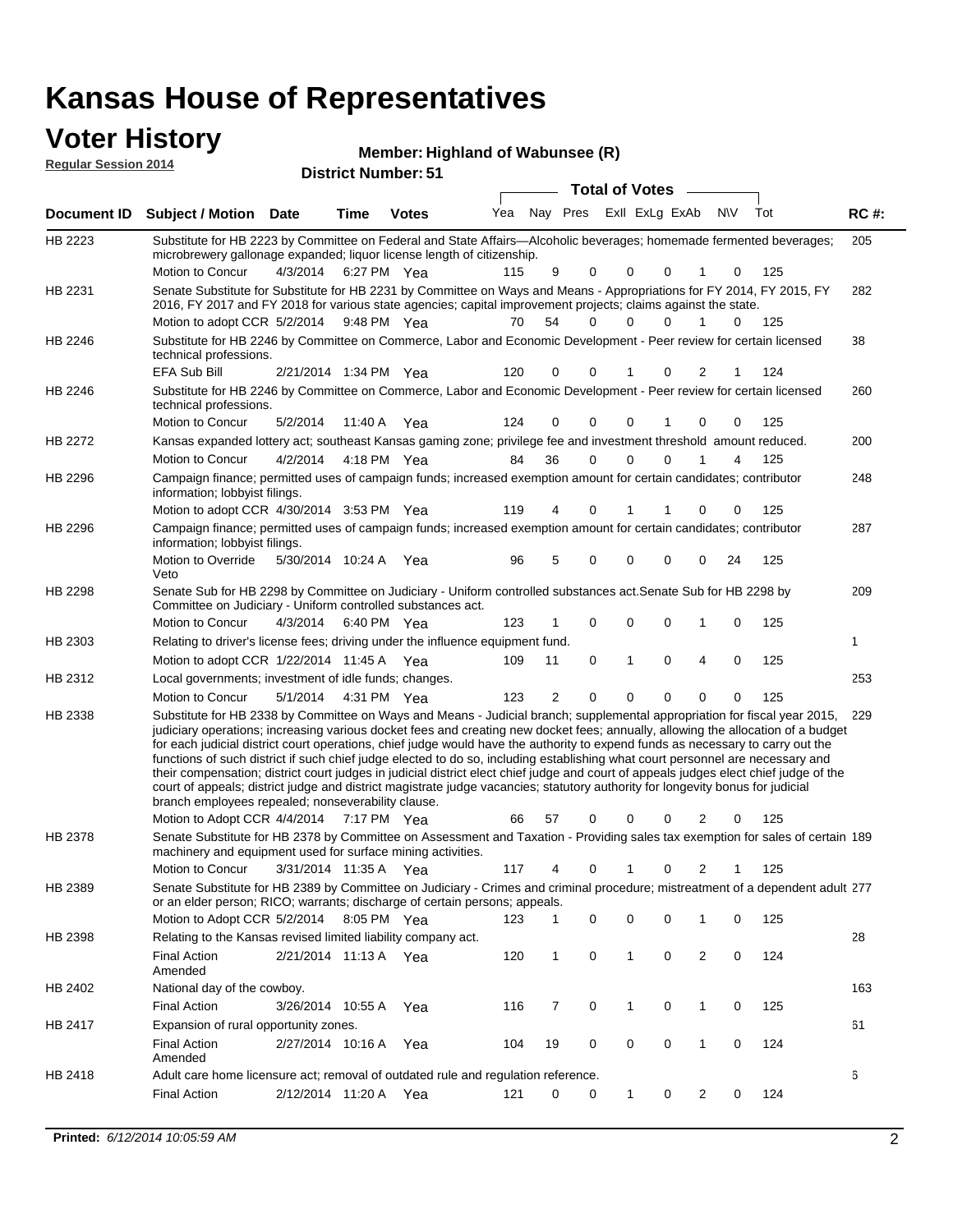#### **Voter History Member**

| <b>VULCI FIISLUI Y</b><br><b>Regular Session 2014</b> |                                        | Member: Highland of Wabunsee (R)<br><b>District Number: 51</b> |      |  |                                |  |  |  |  |  |
|-------------------------------------------------------|----------------------------------------|----------------------------------------------------------------|------|--|--------------------------------|--|--|--|--|--|
|                                                       |                                        |                                                                |      |  | <b>Total of Votes</b>          |  |  |  |  |  |
|                                                       | <b>Desiminally</b> Cubbet (Method Date |                                                                | T:…. |  | EvIL EvLa EvAL ANV<br>Nov Droc |  |  |  |  |  |

| <b>Document ID</b> | <b>Subject / Motion Date</b>                                                                                                                                                                                                                                                                                                                                                                                                                                                                                                                                                                                                                                                                                                                                                                                                                                                                        |          | Time                  | <b>Votes</b> | Yea | Nay Pres       |             | Exll ExLg ExAb |          |                | <b>NV</b>   | Tot | <b>RC#:</b> |
|--------------------|-----------------------------------------------------------------------------------------------------------------------------------------------------------------------------------------------------------------------------------------------------------------------------------------------------------------------------------------------------------------------------------------------------------------------------------------------------------------------------------------------------------------------------------------------------------------------------------------------------------------------------------------------------------------------------------------------------------------------------------------------------------------------------------------------------------------------------------------------------------------------------------------------------|----------|-----------------------|--------------|-----|----------------|-------------|----------------|----------|----------------|-------------|-----|-------------|
| HB 2223            | Substitute for HB 2223 by Committee on Federal and State Affairs—Alcoholic beverages; homemade fermented beverages;<br>microbrewery gallonage expanded; liquor license length of citizenship.<br>Motion to Concur                                                                                                                                                                                                                                                                                                                                                                                                                                                                                                                                                                                                                                                                                   | 4/3/2014 |                       | 6:27 PM Yea  | 115 | 9              | 0           | 0              | 0        |                | 0           | 125 | 205         |
| HB 2231            | Senate Substitute for Substitute for HB 2231 by Committee on Ways and Means - Appropriations for FY 2014, FY 2015, FY<br>2016, FY 2017 and FY 2018 for various state agencies; capital improvement projects; claims against the state.<br>Motion to adopt CCR 5/2/2014 9:48 PM Yea                                                                                                                                                                                                                                                                                                                                                                                                                                                                                                                                                                                                                  |          |                       |              | 70  | 54             | 0           | 0              | $\Omega$ | 1              | $\Omega$    | 125 | 282         |
| HB 2246            | Substitute for HB 2246 by Committee on Commerce, Labor and Economic Development - Peer review for certain licensed<br>technical professions.                                                                                                                                                                                                                                                                                                                                                                                                                                                                                                                                                                                                                                                                                                                                                        |          |                       |              |     |                |             |                |          |                |             |     | 38          |
| HB 2246            | EFA Sub Bill<br>Substitute for HB 2246 by Committee on Commerce, Labor and Economic Development - Peer review for certain licensed<br>technical professions.                                                                                                                                                                                                                                                                                                                                                                                                                                                                                                                                                                                                                                                                                                                                        |          | 2/21/2014 1:34 PM Yea |              | 120 | 0              | 0           |                | 0        | 2              | 1           | 124 | 260         |
|                    | Motion to Concur                                                                                                                                                                                                                                                                                                                                                                                                                                                                                                                                                                                                                                                                                                                                                                                                                                                                                    | 5/2/2014 |                       | 11:40 A Yea  | 124 | 0              | 0           | 0              |          | 0              | 0           | 125 |             |
| HB 2272            | Kansas expanded lottery act; southeast Kansas gaming zone; privilege fee and investment threshold amount reduced.                                                                                                                                                                                                                                                                                                                                                                                                                                                                                                                                                                                                                                                                                                                                                                                   |          |                       |              |     |                |             |                |          |                |             |     | 200         |
|                    | Motion to Concur                                                                                                                                                                                                                                                                                                                                                                                                                                                                                                                                                                                                                                                                                                                                                                                                                                                                                    | 4/2/2014 |                       | 4:18 PM Yea  | 84  | 36             | $\mathbf 0$ | 0              | 0        | 1              | 4           | 125 |             |
| HB 2296            | Campaign finance; permitted uses of campaign funds; increased exemption amount for certain candidates; contributor<br>information; lobbyist filings.                                                                                                                                                                                                                                                                                                                                                                                                                                                                                                                                                                                                                                                                                                                                                |          |                       |              |     |                |             |                |          |                |             |     | 248         |
|                    | Motion to adopt CCR 4/30/2014 3:53 PM Yea                                                                                                                                                                                                                                                                                                                                                                                                                                                                                                                                                                                                                                                                                                                                                                                                                                                           |          |                       |              | 119 | 4              | 0           | 1              |          | 0              | 0           | 125 |             |
| HB 2296            | Campaign finance; permitted uses of campaign funds; increased exemption amount for certain candidates; contributor<br>information; lobbyist filings.                                                                                                                                                                                                                                                                                                                                                                                                                                                                                                                                                                                                                                                                                                                                                |          |                       |              |     |                |             |                |          |                |             |     | 287         |
|                    | Motion to Override<br>Veto                                                                                                                                                                                                                                                                                                                                                                                                                                                                                                                                                                                                                                                                                                                                                                                                                                                                          |          | 5/30/2014 10:24 A     | Yea          | 96  | 5              | 0           | 0              | 0        | 0              | 24          | 125 |             |
| HB 2298            | Senate Sub for HB 2298 by Committee on Judiciary - Uniform controlled substances act. Senate Sub for HB 2298 by<br>Committee on Judiciary - Uniform controlled substances act.<br>Motion to Concur                                                                                                                                                                                                                                                                                                                                                                                                                                                                                                                                                                                                                                                                                                  | 4/3/2014 |                       | 6:40 PM Yea  | 123 |                | 0           | $\mathbf 0$    | 0        | 1              | $\mathbf 0$ | 125 | 209         |
| HB 2303            | Relating to driver's license fees; driving under the influence equipment fund.                                                                                                                                                                                                                                                                                                                                                                                                                                                                                                                                                                                                                                                                                                                                                                                                                      |          |                       |              |     |                |             |                |          |                |             |     | 1           |
|                    | Motion to adopt CCR 1/22/2014 11:45 A Yea                                                                                                                                                                                                                                                                                                                                                                                                                                                                                                                                                                                                                                                                                                                                                                                                                                                           |          |                       |              | 109 | 11             | 0           | 1              | 0        | 4              | 0           | 125 |             |
| HB 2312            | Local governments; investment of idle funds; changes.                                                                                                                                                                                                                                                                                                                                                                                                                                                                                                                                                                                                                                                                                                                                                                                                                                               |          |                       |              |     |                |             |                |          |                |             |     | 253         |
|                    | Motion to Concur                                                                                                                                                                                                                                                                                                                                                                                                                                                                                                                                                                                                                                                                                                                                                                                                                                                                                    | 5/1/2014 |                       | 4:31 PM Yea  | 123 | $\overline{2}$ | $\mathbf 0$ | 0              | 0        | 0              | $\Omega$    | 125 |             |
| HB 2338            | Substitute for HB 2338 by Committee on Ways and Means - Judicial branch; supplemental appropriation for fiscal year 2015,<br>judiciary operations; increasing various docket fees and creating new docket fees; annually, allowing the allocation of a budget<br>for each judicial district court operations, chief judge would have the authority to expend funds as necessary to carry out the<br>functions of such district if such chief judge elected to do so, including establishing what court personnel are necessary and<br>their compensation; district court judges in judicial district elect chief judge and court of appeals judges elect chief judge of the<br>court of appeals; district judge and district magistrate judge vacancies; statutory authority for longevity bonus for judicial<br>branch employees repealed; nonseverability clause.<br>Motion to Adopt CCR 4/4/2014 |          |                       | 7:17 PM Yea  | 66  | 57             | 0           | 0              | 0        | 2              | 0           | 125 | 229         |
| HB 2378            | Senate Substitute for HB 2378 by Committee on Assessment and Taxation - Providing sales tax exemption for sales of certain 189<br>machinery and equipment used for surface mining activities.                                                                                                                                                                                                                                                                                                                                                                                                                                                                                                                                                                                                                                                                                                       |          |                       |              |     |                |             |                |          |                |             |     |             |
|                    | Motion to Concur                                                                                                                                                                                                                                                                                                                                                                                                                                                                                                                                                                                                                                                                                                                                                                                                                                                                                    |          | 3/31/2014 11:35 A     | Yea          | 117 | 4              | 0           |                | 0        | 2              |             | 125 |             |
| HB 2389            | Senate Substitute for HB 2389 by Committee on Judiciary - Crimes and criminal procedure; mistreatment of a dependent adult 277<br>or an elder person; RICO; warrants; discharge of certain persons; appeals.                                                                                                                                                                                                                                                                                                                                                                                                                                                                                                                                                                                                                                                                                        |          |                       |              |     |                |             |                |          |                |             |     |             |
|                    | Motion to Adopt CCR 5/2/2014                                                                                                                                                                                                                                                                                                                                                                                                                                                                                                                                                                                                                                                                                                                                                                                                                                                                        |          | 8:05 PM Yea           |              | 123 | 1              | 0           | 0              | 0        |                | 0           | 125 |             |
| HB 2398            | Relating to the Kansas revised limited liability company act.<br><b>Final Action</b><br>Amended                                                                                                                                                                                                                                                                                                                                                                                                                                                                                                                                                                                                                                                                                                                                                                                                     |          | 2/21/2014 11:13 A Yea |              | 120 | 1              | 0           | 1              | 0        | $\overline{2}$ | 0           | 124 | 28          |
| HB 2402            | National day of the cowboy.                                                                                                                                                                                                                                                                                                                                                                                                                                                                                                                                                                                                                                                                                                                                                                                                                                                                         |          |                       |              |     |                |             |                |          |                |             |     | 163         |
|                    | <b>Final Action</b>                                                                                                                                                                                                                                                                                                                                                                                                                                                                                                                                                                                                                                                                                                                                                                                                                                                                                 |          | 3/26/2014 10:55 A     | Yea          | 116 | 7              | 0           | 1              | 0        | $\mathbf{1}$   | 0           | 125 |             |
|                    | Expansion of rural opportunity zones.                                                                                                                                                                                                                                                                                                                                                                                                                                                                                                                                                                                                                                                                                                                                                                                                                                                               |          |                       |              |     |                |             |                |          |                |             |     | 61          |
| HB 2417            | <b>Final Action</b><br>Amended                                                                                                                                                                                                                                                                                                                                                                                                                                                                                                                                                                                                                                                                                                                                                                                                                                                                      |          | 2/27/2014 10:16 A Yea |              | 104 | 19             | 0           | 0              | 0        | $\mathbf{1}$   | 0           | 124 |             |
| HB 2418            | Adult care home licensure act; removal of outdated rule and regulation reference.<br><b>Final Action</b>                                                                                                                                                                                                                                                                                                                                                                                                                                                                                                                                                                                                                                                                                                                                                                                            |          | 2/12/2014 11:20 A     |              | 121 | 0              | 0           | $\mathbf{1}$   | 0        | $\overline{2}$ | 0           | 124 | 6           |
|                    |                                                                                                                                                                                                                                                                                                                                                                                                                                                                                                                                                                                                                                                                                                                                                                                                                                                                                                     |          |                       | Yea          |     |                |             |                |          |                |             |     |             |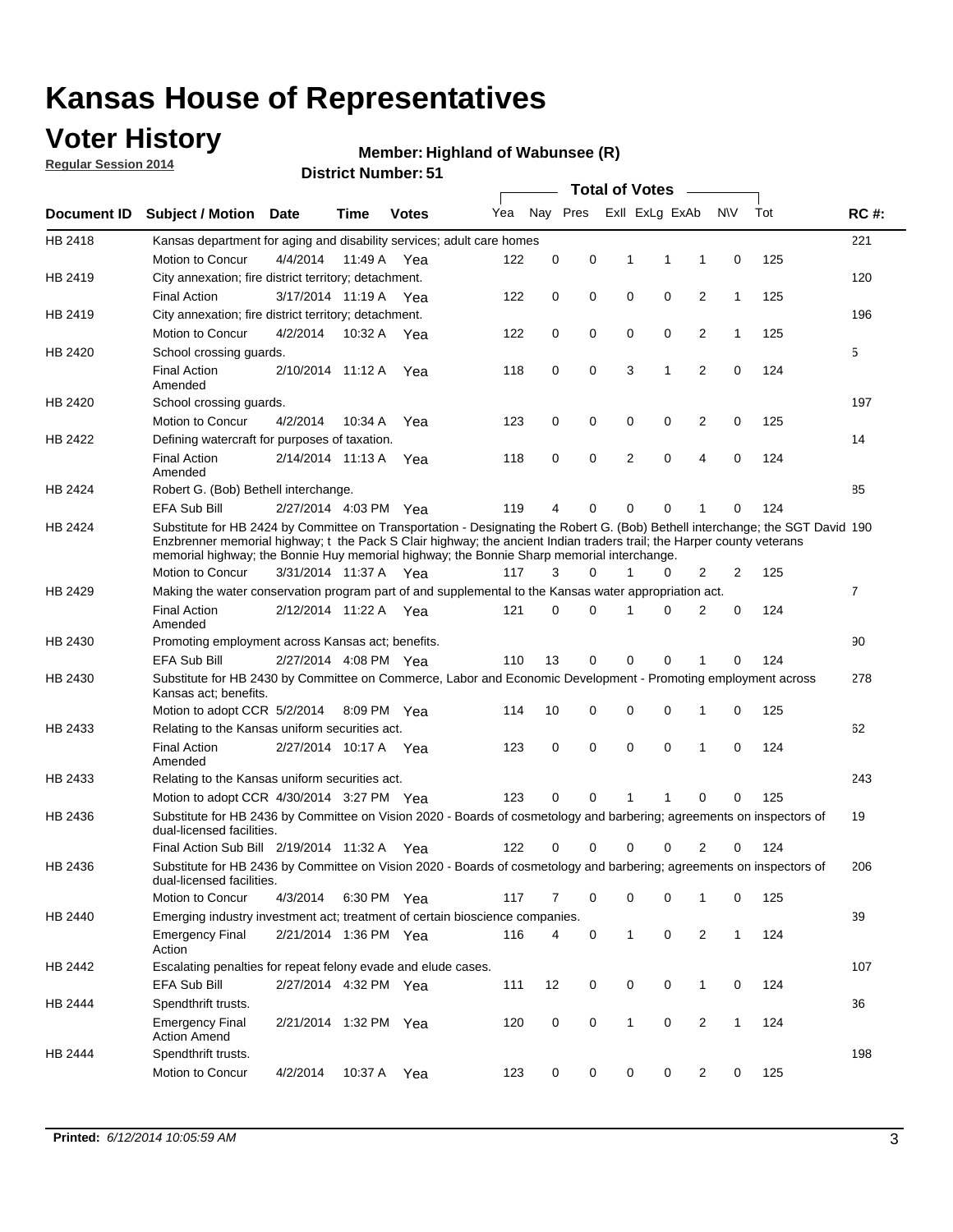### **Voter History**

**Regular Session 2014**

#### **Highland of Wabunsee (R)**

|             |                                                                                                                                                                                                                                                                                                                                                      |                       |         | ו ט ו שטוווטרו ועו ווסוש |     |    |          | <b>Total of Votes</b> |                |                         |              |     |                |
|-------------|------------------------------------------------------------------------------------------------------------------------------------------------------------------------------------------------------------------------------------------------------------------------------------------------------------------------------------------------------|-----------------------|---------|--------------------------|-----|----|----------|-----------------------|----------------|-------------------------|--------------|-----|----------------|
| Document ID | <b>Subject / Motion Date</b>                                                                                                                                                                                                                                                                                                                         |                       | Time    | <b>Votes</b>             | Yea |    | Nay Pres |                       | Exll ExLg ExAb |                         | <b>NV</b>    | Tot | <b>RC#:</b>    |
| HB 2418     | Kansas department for aging and disability services; adult care homes                                                                                                                                                                                                                                                                                |                       |         |                          |     |    |          |                       |                |                         |              |     | 221            |
|             | Motion to Concur                                                                                                                                                                                                                                                                                                                                     | 4/4/2014              | 11:49 A | Yea                      | 122 | 0  | 0        | 1                     | 1              | 1                       | 0            | 125 |                |
| HB 2419     | City annexation; fire district territory; detachment.                                                                                                                                                                                                                                                                                                |                       |         |                          |     |    |          |                       |                |                         |              |     | 120            |
|             | <b>Final Action</b>                                                                                                                                                                                                                                                                                                                                  | 3/17/2014 11:19 A     |         | Yea                      | 122 | 0  | 0        | $\mathbf 0$           | 0              | 2                       | $\mathbf{1}$ | 125 |                |
| HB 2419     | City annexation; fire district territory; detachment.                                                                                                                                                                                                                                                                                                |                       |         |                          |     |    |          |                       |                |                         |              |     | 196            |
|             | Motion to Concur                                                                                                                                                                                                                                                                                                                                     | 4/2/2014              |         | 10:32 A Yea              | 122 | 0  | 0        | $\mathbf 0$           | 0              | 2                       | $\mathbf{1}$ | 125 |                |
| HB 2420     | School crossing guards.                                                                                                                                                                                                                                                                                                                              |                       |         |                          |     |    |          |                       |                |                         |              |     | 5              |
|             | <b>Final Action</b><br>Amended                                                                                                                                                                                                                                                                                                                       | 2/10/2014 11:12 A     |         | Yea                      | 118 | 0  | 0        | 3                     | 1              | $\overline{2}$          | 0            | 124 |                |
| HB 2420     | School crossing guards.                                                                                                                                                                                                                                                                                                                              |                       |         |                          |     |    |          |                       |                |                         |              |     | 197            |
|             | Motion to Concur                                                                                                                                                                                                                                                                                                                                     | 4/2/2014              | 10:34 A | Yea                      | 123 | 0  | 0        | 0                     | 0              | $\overline{\mathbf{c}}$ | 0            | 125 |                |
| HB 2422     | Defining watercraft for purposes of taxation.                                                                                                                                                                                                                                                                                                        |                       |         |                          |     |    |          |                       |                |                         |              |     | 14             |
|             | <b>Final Action</b><br>Amended                                                                                                                                                                                                                                                                                                                       | 2/14/2014 11:13 A     |         | Yea                      | 118 | 0  | 0        | 2                     | $\mathbf 0$    | $\overline{4}$          | 0            | 124 |                |
| HB 2424     | Robert G. (Bob) Bethell interchange.                                                                                                                                                                                                                                                                                                                 |                       |         |                          |     |    |          |                       |                |                         |              |     | 85             |
|             | EFA Sub Bill                                                                                                                                                                                                                                                                                                                                         | 2/27/2014 4:03 PM Yea |         |                          | 119 | 4  | 0        | 0                     | 0              | 1                       | 0            | 124 |                |
| HB 2424     | Substitute for HB 2424 by Committee on Transportation - Designating the Robert G. (Bob) Bethell interchange; the SGT David 190<br>Enzbrenner memorial highway; t the Pack S Clair highway; the ancient Indian traders trail; the Harper county veterans<br>memorial highway; the Bonnie Huy memorial highway; the Bonnie Sharp memorial interchange. |                       |         |                          |     |    |          |                       |                |                         |              |     |                |
|             | Motion to Concur                                                                                                                                                                                                                                                                                                                                     | 3/31/2014 11:37 A Yea |         |                          | 117 | 3  | 0        | $\mathbf{1}$          | 0              | $\overline{2}$          | 2            | 125 |                |
| HB 2429     | Making the water conservation program part of and supplemental to the Kansas water appropriation act.                                                                                                                                                                                                                                                |                       |         |                          |     |    |          |                       |                |                         |              |     | $\overline{7}$ |
|             | <b>Final Action</b><br>Amended                                                                                                                                                                                                                                                                                                                       | 2/12/2014 11:22 A     |         | Yea                      | 121 | 0  | 0        | 1                     | $\Omega$       | $\overline{2}$          | 0            | 124 |                |
| HB 2430     | Promoting employment across Kansas act; benefits.                                                                                                                                                                                                                                                                                                    |                       |         |                          |     |    |          |                       |                |                         |              |     | 90             |
|             | EFA Sub Bill                                                                                                                                                                                                                                                                                                                                         | 2/27/2014 4:08 PM Yea |         |                          | 110 | 13 | 0        | $\mathbf 0$           | 0              | 1                       | 0            | 124 |                |
| HB 2430     | Substitute for HB 2430 by Committee on Commerce, Labor and Economic Development - Promoting employment across<br>Kansas act; benefits.                                                                                                                                                                                                               |                       |         |                          |     |    |          |                       |                |                         |              |     | 278            |
|             | Motion to adopt CCR 5/2/2014 8:09 PM Yea                                                                                                                                                                                                                                                                                                             |                       |         |                          | 114 | 10 | 0        | 0                     | 0              | 1                       | 0            | 125 |                |
| HB 2433     | Relating to the Kansas uniform securities act.                                                                                                                                                                                                                                                                                                       |                       |         |                          |     |    |          |                       |                |                         |              |     | 62             |
|             | <b>Final Action</b><br>Amended                                                                                                                                                                                                                                                                                                                       | 2/27/2014 10:17 A Yea |         |                          | 123 | 0  | 0        | $\mathbf 0$           | $\mathbf 0$    | 1                       | 0            | 124 |                |
| HB 2433     | Relating to the Kansas uniform securities act.                                                                                                                                                                                                                                                                                                       |                       |         |                          |     |    |          |                       |                |                         |              |     | 243            |
|             | Motion to adopt CCR 4/30/2014 3:27 PM Yea                                                                                                                                                                                                                                                                                                            |                       |         |                          | 123 | 0  | 0        | 1                     | 1              | $\mathbf 0$             | 0            | 125 |                |
| HB 2436     | Substitute for HB 2436 by Committee on Vision 2020 - Boards of cosmetology and barbering; agreements on inspectors of<br>dual-licensed facilities.                                                                                                                                                                                                   |                       |         |                          |     |    |          |                       |                |                         |              |     | 19             |
|             | Final Action Sub Bill 2/19/2014 11:32 A                                                                                                                                                                                                                                                                                                              |                       |         | Yea                      | 122 | 0  | 0        | 0                     | 0              | $\overline{2}$          | 0            | 124 |                |
| HB 2436     | Substitute for HB 2436 by Committee on Vision 2020 - Boards of cosmetology and barbering; agreements on inspectors of<br>dual-licensed facilities.                                                                                                                                                                                                   |                       |         |                          |     |    |          |                       |                |                         |              |     | 206            |
|             | Motion to Concur                                                                                                                                                                                                                                                                                                                                     | 4/3/2014              |         | 6:30 PM Yea              | 117 | 7  | 0        | 0                     | 0              | 1                       | 0            | 125 |                |
| HB 2440     | Emerging industry investment act; treatment of certain bioscience companies.                                                                                                                                                                                                                                                                         |                       |         |                          |     |    |          |                       |                |                         |              |     | 39             |
|             | <b>Emergency Final</b><br>Action                                                                                                                                                                                                                                                                                                                     | 2/21/2014 1:36 PM Yea |         |                          | 116 | 4  | 0        | $\mathbf{1}$          | 0              | 2                       | $\mathbf{1}$ | 124 |                |
| HB 2442     | Escalating penalties for repeat felony evade and elude cases.                                                                                                                                                                                                                                                                                        |                       |         |                          |     |    |          |                       |                |                         |              |     | 107            |
|             | EFA Sub Bill                                                                                                                                                                                                                                                                                                                                         | 2/27/2014 4:32 PM Yea |         |                          | 111 | 12 | 0        | 0                     | 0              | 1                       | 0            | 124 |                |
| HB 2444     | Spendthrift trusts.                                                                                                                                                                                                                                                                                                                                  |                       |         |                          |     |    |          |                       |                |                         |              |     | 36             |
|             | <b>Emergency Final</b><br><b>Action Amend</b>                                                                                                                                                                                                                                                                                                        | 2/21/2014 1:32 PM Yea |         |                          | 120 | 0  | 0        | $\mathbf{1}$          | 0              | $\overline{2}$          | $\mathbf{1}$ | 124 |                |
| HB 2444     | Spendthrift trusts.                                                                                                                                                                                                                                                                                                                                  |                       |         |                          |     |    |          |                       |                |                         |              |     | 198            |
|             | Motion to Concur                                                                                                                                                                                                                                                                                                                                     | 4/2/2014              | 10:37 A | Yea                      | 123 | 0  | 0        | 0                     | 0              | $\overline{2}$          | 0            | 125 |                |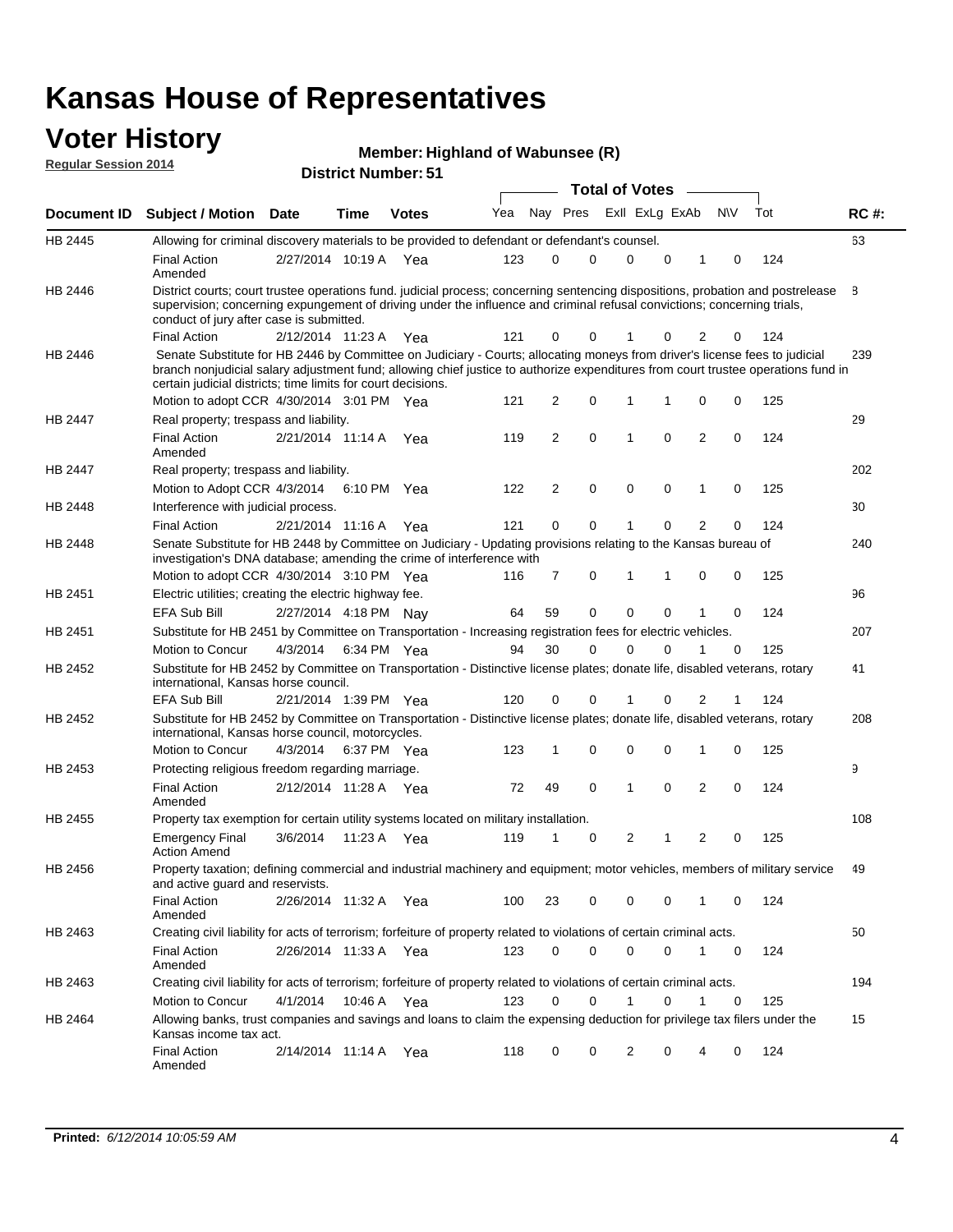#### **Voter History Regular Session 2014**

| Member: Highland of Wabunsee (R) |  |
|----------------------------------|--|
|----------------------------------|--|

|                    |                                                                                                                                                                                                                                                                                                                                 |                       |         |              |     |          |             | <b>Total of Votes</b> |             |                |             |     |             |
|--------------------|---------------------------------------------------------------------------------------------------------------------------------------------------------------------------------------------------------------------------------------------------------------------------------------------------------------------------------|-----------------------|---------|--------------|-----|----------|-------------|-----------------------|-------------|----------------|-------------|-----|-------------|
| <b>Document ID</b> | Subject / Motion Date                                                                                                                                                                                                                                                                                                           |                       | Time    | <b>Votes</b> | Yea | Nay Pres |             | Exll ExLg ExAb        |             |                | <b>NV</b>   | Tot | <b>RC#:</b> |
| HB 2445            | Allowing for criminal discovery materials to be provided to defendant or defendant's counsel.                                                                                                                                                                                                                                   |                       |         |              |     |          |             |                       |             |                |             |     | 63          |
|                    | <b>Final Action</b><br>Amended                                                                                                                                                                                                                                                                                                  | 2/27/2014 10:19 A     |         | Yea          | 123 | 0        | 0           | 0                     | 0           | 1              | 0           | 124 |             |
| HB 2446            | District courts; court trustee operations fund. judicial process; concerning sentencing dispositions, probation and postrelease<br>supervision; concerning expungement of driving under the influence and criminal refusal convictions; concerning trials,<br>conduct of jury after case is submitted.                          |                       |         |              |     |          |             |                       |             |                |             |     | 8           |
|                    | <b>Final Action</b>                                                                                                                                                                                                                                                                                                             | 2/12/2014 11:23 A     |         | Yea          | 121 | 0        | 0           | 1                     | 0           | 2              | 0           | 124 |             |
| HB 2446            | Senate Substitute for HB 2446 by Committee on Judiciary - Courts; allocating moneys from driver's license fees to judicial<br>branch nonjudicial salary adjustment fund; allowing chief justice to authorize expenditures from court trustee operations fund in<br>certain judicial districts; time limits for court decisions. |                       |         |              |     |          |             |                       |             |                |             |     | 239         |
|                    | Motion to adopt CCR 4/30/2014 3:01 PM Yea                                                                                                                                                                                                                                                                                       |                       |         |              | 121 | 2        | 0           | 1                     | 1           | 0              | 0           | 125 |             |
| HB 2447            | Real property; trespass and liability.                                                                                                                                                                                                                                                                                          |                       |         |              |     |          |             |                       |             |                |             |     | 29          |
|                    | <b>Final Action</b><br>Amended                                                                                                                                                                                                                                                                                                  | 2/21/2014 11:14 A     |         | Yea          | 119 | 2        | 0           | 1                     | 0           | $\overline{2}$ | 0           | 124 |             |
| HB 2447            | Real property; trespass and liability.                                                                                                                                                                                                                                                                                          |                       |         |              |     |          |             |                       |             |                |             |     | 202         |
|                    | Motion to Adopt CCR 4/3/2014                                                                                                                                                                                                                                                                                                    |                       |         | 6:10 PM Yea  | 122 | 2        | $\mathbf 0$ | $\mathbf 0$           | 0           | 1              | 0           | 125 |             |
| HB 2448            | Interference with judicial process.                                                                                                                                                                                                                                                                                             |                       |         |              |     |          |             |                       |             |                |             |     | 30          |
|                    | <b>Final Action</b>                                                                                                                                                                                                                                                                                                             | 2/21/2014 11:16 A     |         | Yea          | 121 | 0        | 0           | 1                     | 0           | 2              | 0           | 124 |             |
| <b>HB 2448</b>     | Senate Substitute for HB 2448 by Committee on Judiciary - Updating provisions relating to the Kansas bureau of<br>investigation's DNA database; amending the crime of interference with                                                                                                                                         |                       |         |              |     |          |             |                       |             |                |             |     | 240         |
|                    | Motion to adopt CCR 4/30/2014 3:10 PM Yea                                                                                                                                                                                                                                                                                       |                       |         |              | 116 | 7        | 0           | 1                     |             | 0              | 0           | 125 |             |
| HB 2451            | Electric utilities; creating the electric highway fee.                                                                                                                                                                                                                                                                          |                       |         |              |     |          |             |                       |             |                |             |     | 96          |
|                    | EFA Sub Bill                                                                                                                                                                                                                                                                                                                    | 2/27/2014 4:18 PM Nay |         |              | 64  | 59       | 0           | $\Omega$              | 0           |                | $\mathbf 0$ | 124 |             |
| HB 2451            | Substitute for HB 2451 by Committee on Transportation - Increasing registration fees for electric vehicles.                                                                                                                                                                                                                     |                       |         |              |     |          |             |                       |             |                |             |     | 207         |
|                    | Motion to Concur                                                                                                                                                                                                                                                                                                                | 4/3/2014              |         | 6:34 PM Yea  | 94  | 30       | 0           | 0                     | 0           |                | 0           | 125 |             |
| HB 2452            | Substitute for HB 2452 by Committee on Transportation - Distinctive license plates; donate life, disabled veterans, rotary<br>international, Kansas horse council.                                                                                                                                                              |                       |         |              |     |          |             |                       |             |                |             |     | 41          |
|                    | EFA Sub Bill                                                                                                                                                                                                                                                                                                                    | 2/21/2014 1:39 PM Yea |         |              | 120 | 0        | 0           |                       | 0           | 2              | 1           | 124 |             |
| HB 2452            | Substitute for HB 2452 by Committee on Transportation - Distinctive license plates; donate life, disabled veterans, rotary<br>international, Kansas horse council, motorcycles.                                                                                                                                                 |                       |         |              |     |          |             |                       |             |                |             |     | 208         |
|                    | Motion to Concur                                                                                                                                                                                                                                                                                                                | 4/3/2014              |         | 6:37 PM Yea  | 123 | 1        | 0           | $\mathbf 0$           | 0           | 1              | 0           | 125 |             |
| HB 2453            | Protecting religious freedom regarding marriage.                                                                                                                                                                                                                                                                                |                       |         |              |     |          |             |                       |             |                |             |     | 9           |
|                    | <b>Final Action</b><br>Amended                                                                                                                                                                                                                                                                                                  | 2/12/2014 11:28 A Yea |         |              | 72  | 49       | 0           | 1                     | $\Omega$    | $\overline{2}$ | 0           | 124 |             |
| HB 2455            | Property tax exemption for certain utility systems located on military installation.                                                                                                                                                                                                                                            |                       |         |              |     |          |             |                       |             |                |             |     | 108         |
|                    | <b>Emergency Final</b><br><b>Action Amend</b>                                                                                                                                                                                                                                                                                   | 3/6/2014              | 11:23 A | Yea          | 119 | 1        | 0           | 2                     | 1           | $\overline{2}$ | 0           | 125 |             |
| HB 2456            | Property taxation; defining commercial and industrial machinery and equipment; motor vehicles, members of military service<br>and active guard and reservists.                                                                                                                                                                  |                       |         |              |     |          |             |                       |             |                |             |     | 49          |
|                    | <b>Final Action</b><br>Amended                                                                                                                                                                                                                                                                                                  | 2/26/2014 11:32 A Yea |         |              | 100 | 23       | 0           | 0                     | 0           | 1              | 0           | 124 |             |
| HB 2463            | Creating civil liability for acts of terrorism; forfeiture of property related to violations of certain criminal acts.                                                                                                                                                                                                          |                       |         |              |     |          |             |                       |             |                |             |     | 50          |
|                    | <b>Final Action</b><br>Amended                                                                                                                                                                                                                                                                                                  | 2/26/2014 11:33 A Yea |         |              | 123 | 0        | 0           | 0                     | 0           | $\mathbf{1}$   | 0           | 124 |             |
| HB 2463            | Creating civil liability for acts of terrorism; forfeiture of property related to violations of certain criminal acts.                                                                                                                                                                                                          |                       |         |              |     |          |             |                       |             |                |             |     | 194         |
|                    | Motion to Concur                                                                                                                                                                                                                                                                                                                | 4/1/2014              |         | 10:46 A Yea  | 123 | 0        | 0           | $\mathbf{1}$          | $\mathbf 0$ | $\mathbf{1}$   | 0           | 125 |             |
| HB 2464            | Allowing banks, trust companies and savings and loans to claim the expensing deduction for privilege tax filers under the<br>Kansas income tax act.                                                                                                                                                                             |                       |         |              |     |          |             |                       |             |                |             |     | 15          |
|                    | <b>Final Action</b><br>Amended                                                                                                                                                                                                                                                                                                  | 2/14/2014 11:14 A Yea |         |              | 118 | 0        | 0           | 2                     | 0           | 4              | 0           | 124 |             |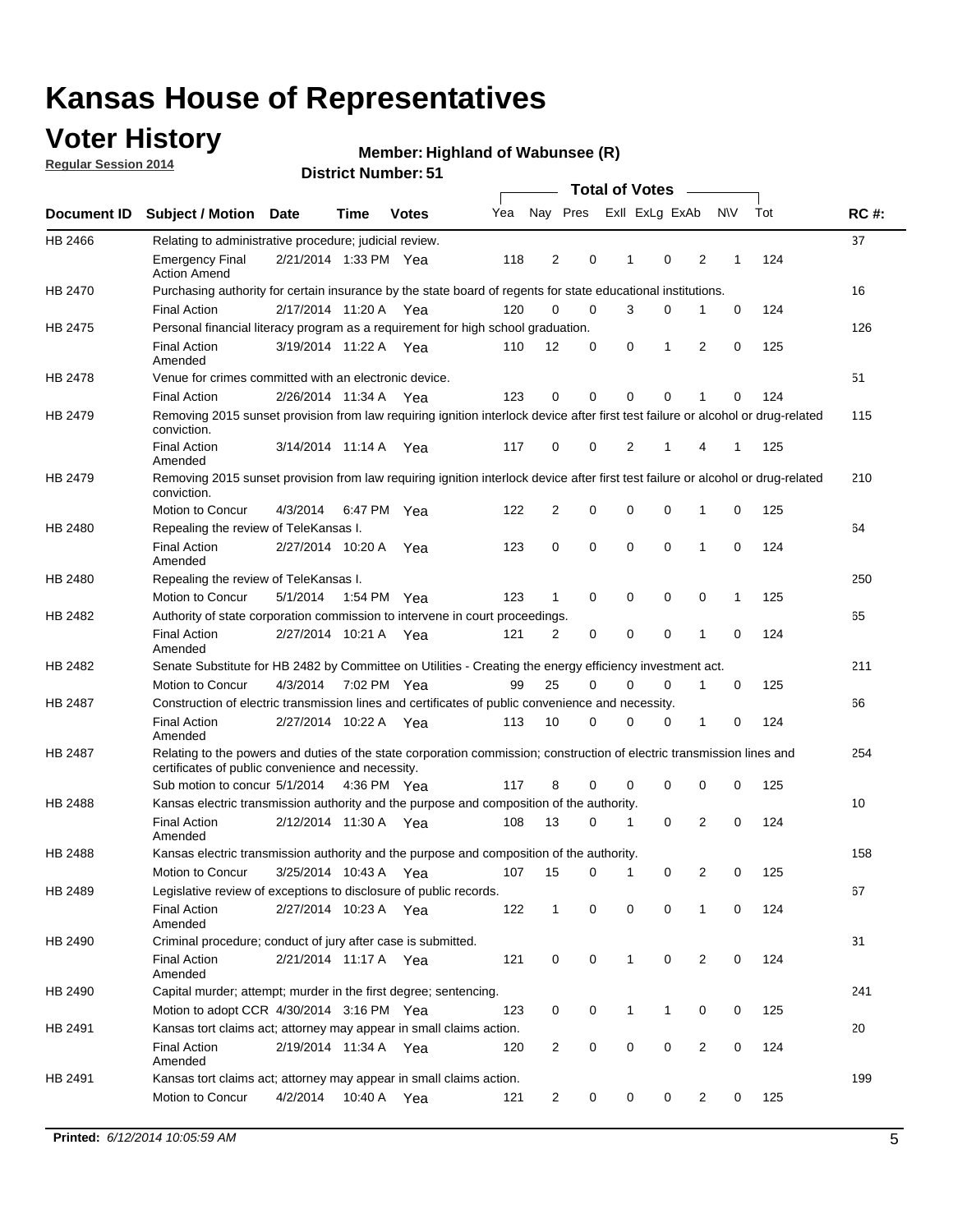### **Voter History**

**Regular Session 2014**

#### **Highland of Wabunsee (R)**

|                |                                                                                                                                                                             |                       |             |              |     |                |             |              | <b>Total of Votes</b> |                |             |     |             |
|----------------|-----------------------------------------------------------------------------------------------------------------------------------------------------------------------------|-----------------------|-------------|--------------|-----|----------------|-------------|--------------|-----------------------|----------------|-------------|-----|-------------|
|                | Document ID Subject / Motion Date                                                                                                                                           |                       | Time        | <b>Votes</b> | Yea |                | Nay Pres    |              | Exll ExLg ExAb        |                | <b>NV</b>   | Tot | <b>RC#:</b> |
| HB 2466        | Relating to administrative procedure; judicial review.                                                                                                                      |                       |             |              |     |                |             |              |                       |                |             |     | 37          |
|                | <b>Emergency Final</b><br><b>Action Amend</b>                                                                                                                               | 2/21/2014 1:33 PM Yea |             |              | 118 | 2              | 0           | 1            | $\mathbf 0$           | $\overline{2}$ | 1           | 124 |             |
| HB 2470        | Purchasing authority for certain insurance by the state board of regents for state educational institutions.                                                                |                       |             |              |     |                |             |              |                       |                |             |     | 16          |
|                | <b>Final Action</b>                                                                                                                                                         | 2/17/2014 11:20 A Yea |             |              | 120 | $\Omega$       | $\mathbf 0$ | 3            | 0                     | 1              | 0           | 124 |             |
| HB 2475        | Personal financial literacy program as a requirement for high school graduation.                                                                                            |                       |             |              |     |                |             |              |                       |                |             |     | 126         |
|                | <b>Final Action</b><br>Amended                                                                                                                                              | 3/19/2014 11:22 A Yea |             |              | 110 | 12             | $\mathbf 0$ | 0            | 1                     | 2              | 0           | 125 |             |
| HB 2478        | Venue for crimes committed with an electronic device.                                                                                                                       |                       |             |              |     |                |             |              |                       |                |             |     | 51          |
|                | <b>Final Action</b>                                                                                                                                                         | 2/26/2014 11:34 A     |             | Yea          | 123 | $\mathbf 0$    | 0           | $\Omega$     | $\mathbf 0$           | 1              | 0           | 124 |             |
| HB 2479        | Removing 2015 sunset provision from law requiring ignition interlock device after first test failure or alcohol or drug-related<br>conviction.                              |                       |             |              |     |                |             |              |                       |                |             |     | 115         |
|                | <b>Final Action</b><br>Amended                                                                                                                                              | 3/14/2014 11:14 A     |             | Yea          | 117 | 0              | 0           | 2            | 1                     | 4              | 1           | 125 |             |
| HB 2479        | Removing 2015 sunset provision from law requiring ignition interlock device after first test failure or alcohol or drug-related<br>conviction.                              |                       |             |              |     |                |             |              |                       |                |             |     | 210         |
|                | Motion to Concur                                                                                                                                                            | 4/3/2014              |             | 6:47 PM Yea  | 122 | $\overline{2}$ | 0           | $\mathbf 0$  | $\mathbf 0$           | 1              | 0           | 125 |             |
| HB 2480        | Repealing the review of TeleKansas I.                                                                                                                                       |                       |             |              |     |                |             |              |                       |                |             |     | 64          |
|                | <b>Final Action</b><br>Amended                                                                                                                                              | 2/27/2014 10:20 A     |             | Yea          | 123 | 0              | 0           | 0            | $\mathbf 0$           | 1              | 0           | 124 |             |
| HB 2480        | Repealing the review of TeleKansas I.                                                                                                                                       |                       |             |              |     |                |             |              |                       |                |             |     | 250         |
|                | Motion to Concur                                                                                                                                                            | 5/1/2014              | 1:54 PM Yea |              | 123 | $\mathbf{1}$   | $\mathbf 0$ | $\mathbf 0$  | $\mathbf 0$           | 0              | 1           | 125 |             |
| HB 2482        | Authority of state corporation commission to intervene in court proceedings.                                                                                                |                       |             |              |     |                |             |              |                       |                |             |     | 65          |
|                | <b>Final Action</b><br>Amended                                                                                                                                              | 2/27/2014 10:21 A     |             | Yea          | 121 | 2              | 0           | $\mathbf 0$  | $\mathbf 0$           | 1              | $\mathbf 0$ | 124 |             |
| HB 2482        | Senate Substitute for HB 2482 by Committee on Utilities - Creating the energy efficiency investment act.                                                                    |                       |             |              |     |                |             |              |                       |                |             |     | 211         |
|                | Motion to Concur                                                                                                                                                            | 4/3/2014 7:02 PM Yea  |             |              | 99  | 25             | $\Omega$    | 0            | 0                     | 1              | 0           | 125 |             |
| HB 2487        | Construction of electric transmission lines and certificates of public convenience and necessity.                                                                           |                       |             |              |     |                |             |              |                       |                |             |     | 66          |
|                | <b>Final Action</b><br>Amended                                                                                                                                              | 2/27/2014 10:22 A Yea |             |              | 113 | 10             | 0           | $\mathbf 0$  | 0                     | 1              | 0           | 124 |             |
| HB 2487        | Relating to the powers and duties of the state corporation commission; construction of electric transmission lines and<br>certificates of public convenience and necessity. |                       |             |              |     |                |             |              |                       |                |             |     | 254         |
|                | Sub motion to concur 5/1/2014 4:36 PM Yea                                                                                                                                   |                       |             |              | 117 | 8              | 0           | $\Omega$     | $\mathbf 0$           | 0              | 0           | 125 |             |
| <b>HB 2488</b> | Kansas electric transmission authority and the purpose and composition of the authority.                                                                                    |                       |             |              |     |                |             |              |                       |                |             |     | 10          |
|                | <b>Final Action</b><br>Amended                                                                                                                                              | 2/12/2014 11:30 A Yea |             |              | 108 | 13             | 0           | 1            | 0                     | $\overline{2}$ | 0           | 124 |             |
| HB 2488        | Kansas electric transmission authority and the purpose and composition of the authority.                                                                                    |                       |             |              |     |                |             |              |                       |                |             |     | 158         |
|                | <b>Motion to Concur</b>                                                                                                                                                     | 3/25/2014 10:43 A     |             | Yea          | 107 | 15             | 0           | 1            | 0                     | 2              | 0           | 125 |             |
| HB 2489        | Legislative review of exceptions to disclosure of public records.                                                                                                           |                       |             |              |     |                |             |              |                       |                |             |     | 67          |
|                | <b>Final Action</b><br>Amended                                                                                                                                              | 2/27/2014 10:23 A Yea |             |              | 122 | $\mathbf{1}$   | 0           | 0            | $\mathbf 0$           | $\mathbf{1}$   | 0           | 124 |             |
| HB 2490        | Criminal procedure; conduct of jury after case is submitted.                                                                                                                |                       |             |              |     |                |             |              |                       |                |             |     | 31          |
|                | <b>Final Action</b><br>Amended                                                                                                                                              | 2/21/2014 11:17 A Yea |             |              | 121 | 0              | 0           | $\mathbf{1}$ | $\mathbf 0$           | 2              | $\mathbf 0$ | 124 |             |
| HB 2490        | Capital murder; attempt; murder in the first degree; sentencing.                                                                                                            |                       |             |              |     |                |             |              |                       |                |             |     | 241         |
|                | Motion to adopt CCR 4/30/2014 3:16 PM Yea                                                                                                                                   |                       |             |              | 123 | 0              | 0           | 1            | 1                     | 0              | 0           | 125 |             |
| HB 2491        | Kansas tort claims act; attorney may appear in small claims action.                                                                                                         |                       |             |              |     |                |             |              |                       |                |             |     | 20          |
|                | <b>Final Action</b><br>Amended                                                                                                                                              | 2/19/2014 11:34 A Yea |             |              | 120 | 2              | 0           | 0            | $\pmb{0}$             | 2              | 0           | 124 |             |
| HB 2491        | Kansas tort claims act; attorney may appear in small claims action.                                                                                                         |                       |             |              |     |                |             |              |                       |                |             |     | 199         |
|                | Motion to Concur                                                                                                                                                            | 4/2/2014              |             | 10:40 A Yea  | 121 | 2              | 0           | 0            | 0                     | 2              | 0           | 125 |             |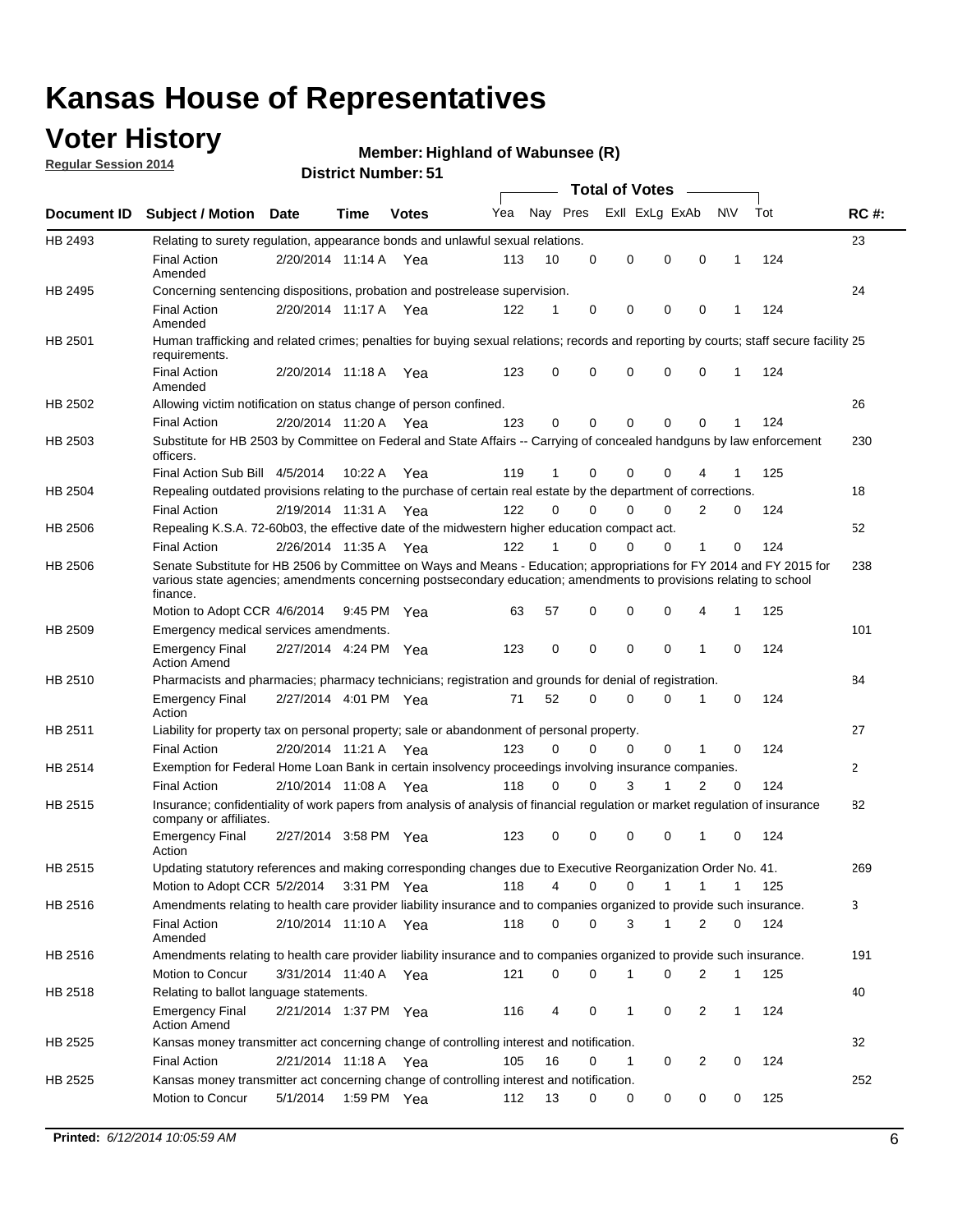### **Voter History**

**Regular Session 2014**

#### **Highland of Wabunsee (R)**

|                    |                                                                                                                                                                                                                                                        |                       |             |             |     |          |          | <b>Total of Votes</b> |              |                |              |     |             |
|--------------------|--------------------------------------------------------------------------------------------------------------------------------------------------------------------------------------------------------------------------------------------------------|-----------------------|-------------|-------------|-----|----------|----------|-----------------------|--------------|----------------|--------------|-----|-------------|
| <b>Document ID</b> | <b>Subject / Motion Date</b>                                                                                                                                                                                                                           |                       | Time        | Votes       | Yea | Nay Pres |          | Exll ExLg ExAb        |              |                | <b>NV</b>    | Tot | <b>RC#:</b> |
| HB 2493            | Relating to surety regulation, appearance bonds and unlawful sexual relations.                                                                                                                                                                         |                       |             |             |     |          |          |                       |              |                |              |     | 23          |
|                    | <b>Final Action</b><br>Amended                                                                                                                                                                                                                         | 2/20/2014 11:14 A     |             | Yea         | 113 | 10       | 0        | 0                     | 0            | 0              | 1            | 124 |             |
| HB 2495            | Concerning sentencing dispositions, probation and postrelease supervision.                                                                                                                                                                             |                       |             |             |     |          |          |                       |              |                |              |     | 24          |
|                    | <b>Final Action</b><br>Amended                                                                                                                                                                                                                         | 2/20/2014 11:17 A Yea |             |             | 122 | 1        | 0        | 0                     | 0            | 0              |              | 124 |             |
| HB 2501            | Human trafficking and related crimes; penalties for buying sexual relations; records and reporting by courts; staff secure facility 25<br>requirements.                                                                                                |                       |             |             |     |          |          |                       |              |                |              |     |             |
|                    | <b>Final Action</b><br>Amended                                                                                                                                                                                                                         | 2/20/2014 11:18 A Yea |             |             | 123 | 0        | 0        | 0                     | $\Omega$     | 0              | $\mathbf{1}$ | 124 |             |
| HB 2502            | Allowing victim notification on status change of person confined.                                                                                                                                                                                      |                       |             |             |     |          |          |                       |              |                |              |     | 26          |
|                    | <b>Final Action</b>                                                                                                                                                                                                                                    | 2/20/2014 11:20 A Yea |             |             | 123 | $\Omega$ | 0        | $\Omega$              | $\mathbf 0$  | 0              |              | 124 |             |
| HB 2503            | Substitute for HB 2503 by Committee on Federal and State Affairs -- Carrying of concealed handguns by law enforcement<br>officers.                                                                                                                     |                       |             |             |     |          |          |                       |              |                |              |     | 230         |
|                    | Final Action Sub Bill 4/5/2014                                                                                                                                                                                                                         |                       | 10:22 A     | Yea         | 119 | 1        | 0        | $\Omega$              | $\Omega$     | 4              |              | 125 |             |
| HB 2504            | Repealing outdated provisions relating to the purchase of certain real estate by the department of corrections.                                                                                                                                        |                       |             |             |     |          |          |                       |              |                |              |     | 18          |
|                    | <b>Final Action</b>                                                                                                                                                                                                                                    | 2/19/2014 11:31 A Yea |             |             | 122 | $\Omega$ | $\Omega$ | $\Omega$              | $\Omega$     | 2              | 0            | 124 |             |
| HB 2506            | Repealing K.S.A. 72-60b03, the effective date of the midwestern higher education compact act.                                                                                                                                                          |                       |             |             |     |          |          |                       |              |                |              |     | 52          |
|                    | <b>Final Action</b>                                                                                                                                                                                                                                    | 2/26/2014 11:35 A Yea |             |             | 122 |          | $\Omega$ | $\Omega$              | $\Omega$     | 1              | 0            | 124 |             |
| HB 2506            | Senate Substitute for HB 2506 by Committee on Ways and Means - Education; appropriations for FY 2014 and FY 2015 for<br>various state agencies; amendments concerning postsecondary education; amendments to provisions relating to school<br>finance. |                       |             |             |     |          |          |                       |              |                |              |     | 238         |
|                    | Motion to Adopt CCR 4/6/2014                                                                                                                                                                                                                           |                       | 9:45 PM Yea |             | 63  | 57       | 0        | 0                     | 0            |                | 1            | 125 |             |
| HB 2509            | Emergency medical services amendments.                                                                                                                                                                                                                 |                       |             |             |     |          |          |                       |              |                |              |     | 101         |
|                    | <b>Emergency Final</b><br><b>Action Amend</b>                                                                                                                                                                                                          | 2/27/2014 4:24 PM Yea |             |             | 123 | 0        | 0        | $\mathbf 0$           | $\mathbf 0$  | 1              | $\mathbf 0$  | 124 |             |
| HB 2510            | Pharmacists and pharmacies; pharmacy technicians; registration and grounds for denial of registration.                                                                                                                                                 |                       |             |             |     |          |          |                       |              |                |              |     | 84          |
|                    | <b>Emergency Final</b><br>Action                                                                                                                                                                                                                       | 2/27/2014 4:01 PM Yea |             |             | 71  | 52       | $\Omega$ | 0                     | $\Omega$     | 1              | 0            | 124 |             |
| HB 2511            | Liability for property tax on personal property; sale or abandonment of personal property.                                                                                                                                                             |                       |             |             |     |          |          |                       |              |                |              |     | 27          |
|                    | <b>Final Action</b>                                                                                                                                                                                                                                    | 2/20/2014 11:21 A     |             | Yea         | 123 | $\Omega$ | $\Omega$ | $\Omega$              | 0            | 1              | 0            | 124 |             |
| HB 2514            | Exemption for Federal Home Loan Bank in certain insolvency proceedings involving insurance companies.                                                                                                                                                  |                       |             |             |     |          |          |                       |              |                |              |     | 2           |
|                    | <b>Final Action</b>                                                                                                                                                                                                                                    | 2/10/2014 11:08 A     |             | Yea         | 118 | $\Omega$ | 0        | 3                     | 1            | $\overline{2}$ | $\mathbf 0$  | 124 |             |
| HB 2515            | Insurance; confidentiality of work papers from analysis of analysis of financial regulation or market regulation of insurance<br>company or affiliates.                                                                                                |                       |             |             |     |          |          |                       |              |                |              |     | 82          |
|                    | <b>Emergency Final</b><br>Action                                                                                                                                                                                                                       | 2/27/2014 3:58 PM Yea |             |             | 123 | 0        | 0        | 0                     | 0            | 1              | 0            | 124 |             |
| HB 2515            | Updating statutory references and making corresponding changes due to Executive Reorganization Order No. 41.                                                                                                                                           |                       |             |             |     |          |          |                       |              |                |              |     | 269         |
|                    | Motion to Adopt CCR 5/2/2014 3:31 PM Yea                                                                                                                                                                                                               |                       |             |             | 118 | 4        | 0        | 0                     | $\mathbf{1}$ | $\mathbf{1}$   | $\mathbf{1}$ | 125 |             |
| HB 2516            | Amendments relating to health care provider liability insurance and to companies organized to provide such insurance.                                                                                                                                  |                       |             |             |     |          |          |                       |              |                |              |     | 3           |
|                    | <b>Final Action</b><br>Amended                                                                                                                                                                                                                         | 2/10/2014 11:10 A Yea |             |             | 118 | 0        | 0        | 3                     | $\mathbf{1}$ | 2              | 0            | 124 |             |
| HB 2516            | Amendments relating to health care provider liability insurance and to companies organized to provide such insurance.                                                                                                                                  |                       |             |             |     |          |          |                       |              |                |              |     | 191         |
|                    | Motion to Concur                                                                                                                                                                                                                                       | 3/31/2014 11:40 A Yea |             |             | 121 | 0        | 0        | 1                     | 0            | 2              | 1            | 125 |             |
| HB 2518            | Relating to ballot language statements.                                                                                                                                                                                                                |                       |             |             |     |          |          |                       |              |                |              |     | 40          |
|                    | <b>Emergency Final</b><br><b>Action Amend</b>                                                                                                                                                                                                          | 2/21/2014 1:37 PM Yea |             |             | 116 | 4        | 0        | 1                     | 0            | 2              | 1            | 124 |             |
| HB 2525            | Kansas money transmitter act concerning change of controlling interest and notification.                                                                                                                                                               |                       |             |             |     |          |          |                       |              |                |              |     | 32          |
|                    | <b>Final Action</b>                                                                                                                                                                                                                                    | 2/21/2014 11:18 A Yea |             |             | 105 | 16       | 0        | 1                     | 0            | 2              | 0            | 124 |             |
| HB 2525            | Kansas money transmitter act concerning change of controlling interest and notification.                                                                                                                                                               |                       |             |             |     |          |          |                       |              |                |              |     | 252         |
|                    | Motion to Concur                                                                                                                                                                                                                                       | 5/1/2014              |             | 1:59 PM Yea | 112 | 13       | 0        | 0                     | 0            | 0              | 0            | 125 |             |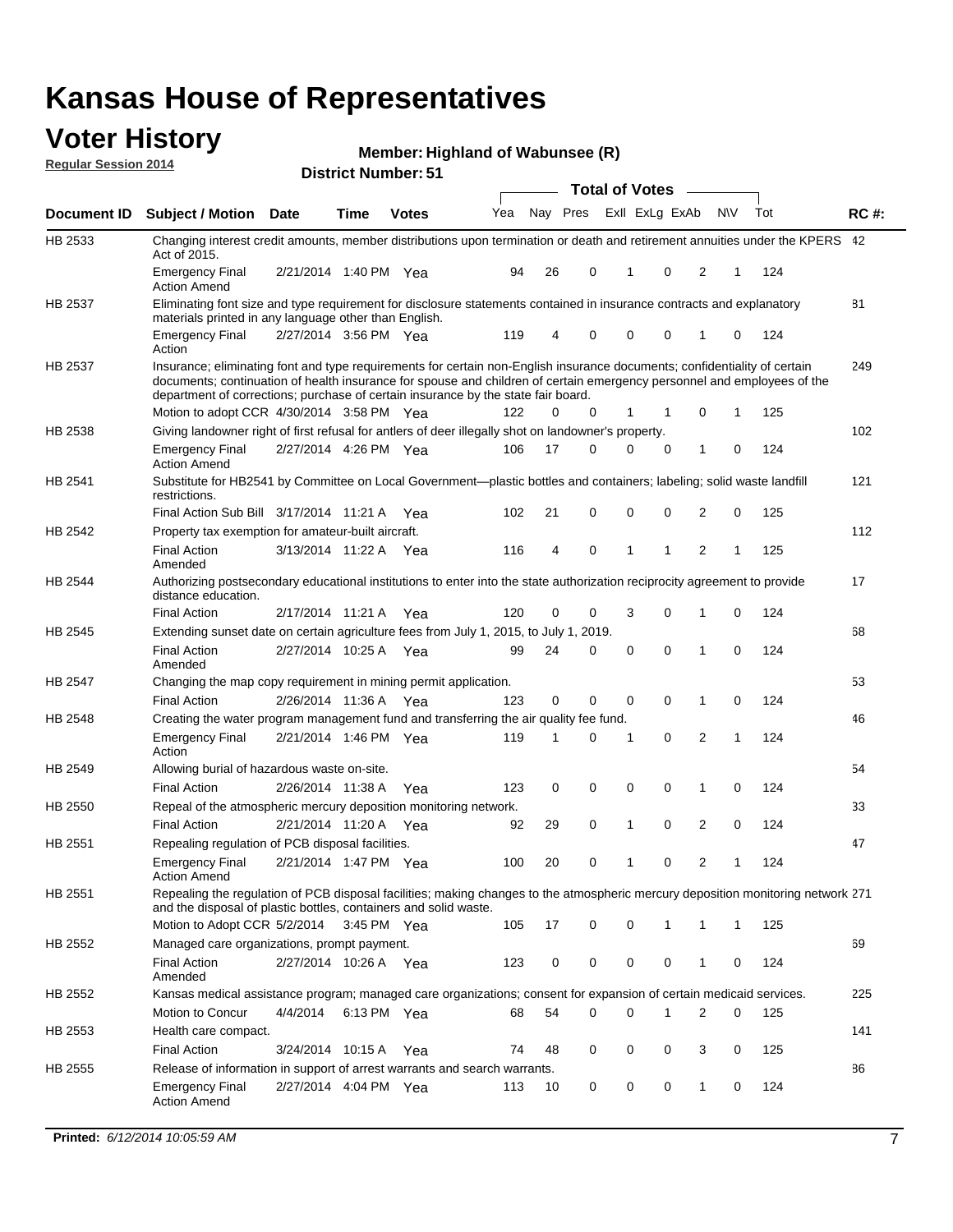#### **Voter History Regular Session 2014**

**Highland of Wabunsee (R)**

|                    |                                                                                                                                                                                                                                                                                                                                           |                       |             | DISTILICI MUITIDEL. 3 I |     |    |             | <b>Total of Votes</b> |                |                |     |     |             |
|--------------------|-------------------------------------------------------------------------------------------------------------------------------------------------------------------------------------------------------------------------------------------------------------------------------------------------------------------------------------------|-----------------------|-------------|-------------------------|-----|----|-------------|-----------------------|----------------|----------------|-----|-----|-------------|
| <b>Document ID</b> | <b>Subject / Motion</b>                                                                                                                                                                                                                                                                                                                   | <b>Date</b>           | Time        | <b>Votes</b>            | Yea |    | Nay Pres    |                       | Exll ExLg ExAb |                | N\V | Tot | <b>RC#:</b> |
| HB 2533            | Changing interest credit amounts, member distributions upon termination or death and retirement annuities under the KPERS 42<br>Act of 2015.                                                                                                                                                                                              |                       |             |                         |     |    |             |                       |                |                |     |     |             |
|                    | <b>Emergency Final</b><br><b>Action Amend</b>                                                                                                                                                                                                                                                                                             | 2/21/2014 1:40 PM Yea |             |                         | 94  | 26 | 0           | 1                     | 0              | 2              | 1   | 124 |             |
| HB 2537            | Eliminating font size and type requirement for disclosure statements contained in insurance contracts and explanatory<br>materials printed in any language other than English.                                                                                                                                                            |                       |             |                         |     |    |             |                       |                |                |     |     | 81          |
|                    | <b>Emergency Final</b><br>Action                                                                                                                                                                                                                                                                                                          | 2/27/2014 3:56 PM Yea |             |                         | 119 | 4  | 0           | $\mathbf 0$           | $\mathbf 0$    | 1              | 0   | 124 |             |
| HB 2537            | Insurance; eliminating font and type requirements for certain non-English insurance documents; confidentiality of certain<br>documents; continuation of health insurance for spouse and children of certain emergency personnel and employees of the<br>department of corrections; purchase of certain insurance by the state fair board. |                       |             |                         |     |    |             |                       |                |                |     |     | 249         |
|                    | Motion to adopt CCR 4/30/2014 3:58 PM Yea                                                                                                                                                                                                                                                                                                 |                       |             |                         | 122 | 0  | 0           | 1                     | 1              | 0              | 1   | 125 |             |
| HB 2538            | Giving landowner right of first refusal for antlers of deer illegally shot on landowner's property.                                                                                                                                                                                                                                       |                       |             |                         |     |    |             |                       |                |                |     |     | 102         |
|                    | <b>Emergency Final</b><br><b>Action Amend</b>                                                                                                                                                                                                                                                                                             | 2/27/2014 4:26 PM Yea |             |                         | 106 | 17 | 0           | $\mathbf 0$           | 0              | 1              | 0   | 124 |             |
| HB 2541            | Substitute for HB2541 by Committee on Local Government—plastic bottles and containers; labeling; solid waste landfill<br>restrictions.                                                                                                                                                                                                    |                       |             |                         |     |    |             |                       |                |                |     |     | 121         |
|                    | Final Action Sub Bill 3/17/2014 11:21 A Yea                                                                                                                                                                                                                                                                                               |                       |             |                         | 102 | 21 | 0           | $\mathbf 0$           | 0              | 2              | 0   | 125 |             |
| <b>HB 2542</b>     | Property tax exemption for amateur-built aircraft.                                                                                                                                                                                                                                                                                        |                       |             |                         |     |    |             |                       |                |                |     |     | 112         |
|                    | <b>Final Action</b><br>Amended                                                                                                                                                                                                                                                                                                            | 3/13/2014 11:22 A Yea |             |                         | 116 | 4  | $\mathbf 0$ | $\mathbf{1}$          | 1              | $\overline{2}$ | 1   | 125 |             |
| <b>HB 2544</b>     | Authorizing postsecondary educational institutions to enter into the state authorization reciprocity agreement to provide<br>distance education.                                                                                                                                                                                          |                       |             |                         |     |    |             |                       |                |                |     |     | 17          |
|                    | <b>Final Action</b>                                                                                                                                                                                                                                                                                                                       | 2/17/2014 11:21 A Yea |             |                         | 120 | 0  | 0           | 3                     | $\Omega$       | 1              | 0   | 124 |             |
| HB 2545            | Extending sunset date on certain agriculture fees from July 1, 2015, to July 1, 2019.                                                                                                                                                                                                                                                     |                       |             |                         |     |    |             |                       |                |                |     |     | 68          |
|                    | <b>Final Action</b><br>Amended                                                                                                                                                                                                                                                                                                            | 2/27/2014 10:25 A Yea |             |                         | 99  | 24 | 0           | $\mathbf 0$           | $\Omega$       | 1              | 0   | 124 |             |
| HB 2547            | Changing the map copy requirement in mining permit application.                                                                                                                                                                                                                                                                           |                       |             |                         |     |    |             |                       |                |                |     |     | 53          |
|                    | <b>Final Action</b>                                                                                                                                                                                                                                                                                                                       | 2/26/2014 11:36 A     |             | Yea                     | 123 | 0  | 0           | $\mathbf 0$           | 0              | 1              | 0   | 124 |             |
| HB 2548            | Creating the water program management fund and transferring the air quality fee fund.                                                                                                                                                                                                                                                     |                       |             |                         |     |    |             |                       |                |                |     |     | 46          |
|                    | <b>Emergency Final</b><br>Action                                                                                                                                                                                                                                                                                                          | 2/21/2014 1:46 PM Yea |             |                         | 119 | 1  | 0           | 1                     | $\mathbf 0$    | 2              | 1   | 124 |             |
| HB 2549            | Allowing burial of hazardous waste on-site.                                                                                                                                                                                                                                                                                               |                       |             |                         |     |    |             |                       |                |                |     |     | 54          |
|                    | <b>Final Action</b>                                                                                                                                                                                                                                                                                                                       | 2/26/2014 11:38 A     |             | Yea                     | 123 | 0  | 0           | $\mathbf 0$           | $\mathbf 0$    | 1              | 0   | 124 |             |
| HB 2550            | Repeal of the atmospheric mercury deposition monitoring network.                                                                                                                                                                                                                                                                          |                       |             |                         |     |    |             |                       |                |                |     |     | 33          |
|                    | <b>Final Action</b>                                                                                                                                                                                                                                                                                                                       | 2/21/2014 11:20 A Yea |             |                         | 92  | 29 | 0           | 1                     | $\mathbf 0$    | 2              | 0   | 124 |             |
| HB 2551            | Repealing regulation of PCB disposal facilities.                                                                                                                                                                                                                                                                                          |                       |             |                         |     |    |             |                       |                |                |     |     | 47          |
|                    | <b>Emergency Final</b><br><b>Action Amend</b>                                                                                                                                                                                                                                                                                             | 2/21/2014 1:47 PM Yea |             |                         | 100 | 20 | 0           | 1                     | 0              | 2              | 1   | 124 |             |
| HB 2551            | Repealing the regulation of PCB disposal facilities; making changes to the atmospheric mercury deposition monitoring network 271<br>and the disposal of plastic bottles, containers and solid waste.                                                                                                                                      |                       |             |                         |     |    |             |                       |                |                |     |     |             |
|                    | Motion to Adopt CCR 5/2/2014                                                                                                                                                                                                                                                                                                              |                       | 3:45 PM Yea |                         | 105 | 17 | 0           | $\mathbf 0$           | 1              | 1              | 1   | 125 |             |
| HB 2552            | Managed care organizations, prompt payment.                                                                                                                                                                                                                                                                                               |                       |             |                         |     |    |             |                       |                |                |     |     | 69          |
|                    | <b>Final Action</b><br>Amended                                                                                                                                                                                                                                                                                                            | 2/27/2014 10:26 A Yea |             |                         | 123 | 0  | 0           | 0                     | 0              | 1              | 0   | 124 |             |
| HB 2552            | Kansas medical assistance program; managed care organizations; consent for expansion of certain medicaid services.                                                                                                                                                                                                                        |                       |             |                         |     |    |             |                       |                |                |     |     | 225         |
|                    | Motion to Concur                                                                                                                                                                                                                                                                                                                          | 4/4/2014              | 6:13 PM Yea |                         | 68  | 54 | 0           | $\mathbf 0$           | 1              | 2              | 0   | 125 |             |
| HB 2553            | Health care compact.                                                                                                                                                                                                                                                                                                                      |                       |             |                         |     |    |             |                       |                |                |     |     | 141         |
|                    | <b>Final Action</b>                                                                                                                                                                                                                                                                                                                       | 3/24/2014 10:15 A Yea |             |                         | 74  | 48 | 0           | 0                     | 0              | 3              | 0   | 125 |             |
| HB 2555            | Release of information in support of arrest warrants and search warrants.                                                                                                                                                                                                                                                                 |                       |             |                         |     |    |             |                       |                |                |     |     | 86          |
|                    | <b>Emergency Final</b><br><b>Action Amend</b>                                                                                                                                                                                                                                                                                             | 2/27/2014 4:04 PM Yea |             |                         | 113 | 10 | 0           | 0                     | 0              | $\mathbf{1}$   | 0   | 124 |             |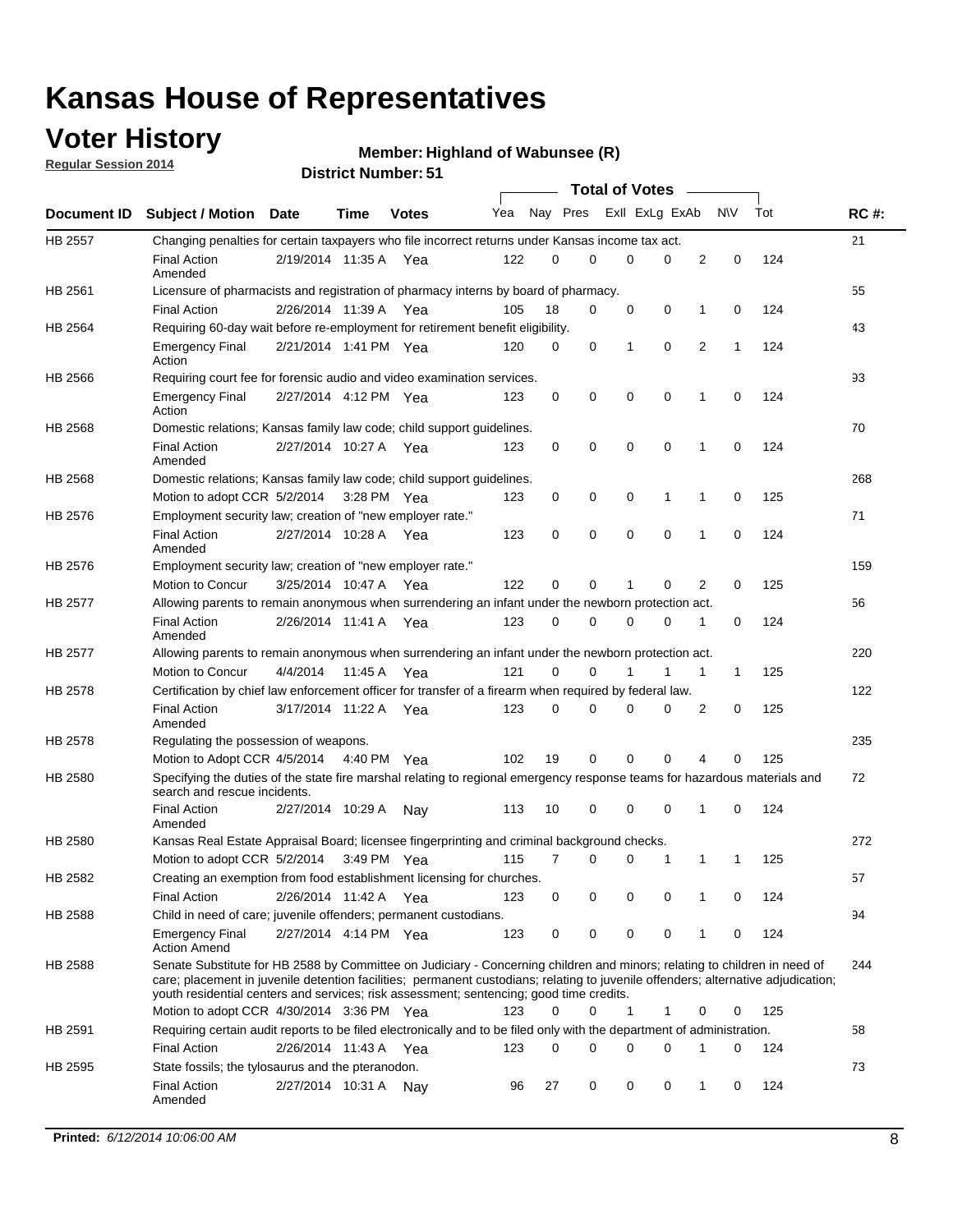### **Voter History**

**Regular Session 2014**

#### **Highland of Wabunsee (R)**

|                |                                                                                                                                                                                                                                                                                                                                                           | <b>Total of Votes</b> |         |              |     |          |          |                |             |              |             |     |             |
|----------------|-----------------------------------------------------------------------------------------------------------------------------------------------------------------------------------------------------------------------------------------------------------------------------------------------------------------------------------------------------------|-----------------------|---------|--------------|-----|----------|----------|----------------|-------------|--------------|-------------|-----|-------------|
|                | Document ID Subject / Motion Date                                                                                                                                                                                                                                                                                                                         |                       | Time    | <b>Votes</b> | Yea | Nay Pres |          | Exll ExLg ExAb |             |              | N\V         | Tot | <b>RC#:</b> |
| HB 2557        | Changing penalties for certain taxpayers who file incorrect returns under Kansas income tax act.                                                                                                                                                                                                                                                          |                       |         |              |     |          |          |                |             |              |             |     | 21          |
|                | <b>Final Action</b><br>Amended                                                                                                                                                                                                                                                                                                                            | 2/19/2014 11:35 A     |         | Yea          | 122 | 0        | 0        | 0              | 0           | 2            | $\mathbf 0$ | 124 |             |
| HB 2561        | Licensure of pharmacists and registration of pharmacy interns by board of pharmacy.                                                                                                                                                                                                                                                                       |                       |         |              |     |          |          |                |             |              |             |     | 55          |
|                | <b>Final Action</b>                                                                                                                                                                                                                                                                                                                                       | 2/26/2014 11:39 A Yea |         |              | 105 | 18       | 0        | 0              | 0           | 1            | 0           | 124 |             |
| HB 2564        | Requiring 60-day wait before re-employment for retirement benefit eligibility.                                                                                                                                                                                                                                                                            |                       |         |              |     |          |          |                |             |              |             |     | 43          |
|                | <b>Emergency Final</b><br>Action                                                                                                                                                                                                                                                                                                                          | 2/21/2014 1:41 PM Yea |         |              | 120 | 0        | 0        | 1              | 0           | 2            | 1           | 124 |             |
| HB 2566        | Requiring court fee for forensic audio and video examination services.                                                                                                                                                                                                                                                                                    |                       |         |              |     |          |          |                |             |              |             |     | 93          |
|                | <b>Emergency Final</b><br>Action                                                                                                                                                                                                                                                                                                                          | 2/27/2014 4:12 PM Yea |         |              | 123 | 0        | 0        | $\mathbf 0$    | $\mathbf 0$ | $\mathbf{1}$ | 0           | 124 |             |
| HB 2568        | Domestic relations; Kansas family law code; child support guidelines.                                                                                                                                                                                                                                                                                     |                       |         |              |     |          |          |                |             |              |             |     | 70          |
|                | <b>Final Action</b><br>Amended                                                                                                                                                                                                                                                                                                                            | 2/27/2014 10:27 A     |         | Yea          | 123 | 0        | 0        | 0              | $\mathbf 0$ | 1            | 0           | 124 |             |
| HB 2568        | Domestic relations; Kansas family law code; child support guidelines.                                                                                                                                                                                                                                                                                     |                       |         |              |     |          |          |                |             |              |             |     | 268         |
|                | Motion to adopt CCR 5/2/2014                                                                                                                                                                                                                                                                                                                              |                       |         | 3:28 PM Yea  | 123 | 0        | 0        | 0              | 1           | 1            | 0           | 125 |             |
| HB 2576        | Employment security law; creation of "new employer rate."                                                                                                                                                                                                                                                                                                 |                       |         |              |     |          |          |                |             |              |             |     | 71          |
|                | <b>Final Action</b><br>Amended                                                                                                                                                                                                                                                                                                                            | 2/27/2014 10:28 A     |         | Yea          | 123 | 0        | 0        | 0              | $\mathbf 0$ | 1            | 0           | 124 |             |
| HB 2576        | Employment security law; creation of "new employer rate."                                                                                                                                                                                                                                                                                                 |                       |         |              |     |          |          |                |             |              |             |     | 159         |
|                | Motion to Concur                                                                                                                                                                                                                                                                                                                                          | 3/25/2014 10:47 A     |         | Yea          | 122 | 0        | 0        | 1              | 0           | 2            | 0           | 125 |             |
| <b>HB 2577</b> | Allowing parents to remain anonymous when surrendering an infant under the newborn protection act.                                                                                                                                                                                                                                                        |                       |         |              |     |          |          |                |             |              |             |     | 56          |
|                | <b>Final Action</b><br>Amended                                                                                                                                                                                                                                                                                                                            | 2/26/2014 11:41 A Yea |         |              | 123 | 0        | $\Omega$ | 0              | 0           | 1            | 0           | 124 |             |
| HB 2577        | Allowing parents to remain anonymous when surrendering an infant under the newborn protection act.                                                                                                                                                                                                                                                        |                       |         |              |     |          |          |                |             |              |             |     | 220         |
|                | Motion to Concur                                                                                                                                                                                                                                                                                                                                          | 4/4/2014              | 11:45 A | Yea          | 121 | 0        | 0        |                | 1           | 1            | $\mathbf 1$ | 125 |             |
| HB 2578        | Certification by chief law enforcement officer for transfer of a firearm when required by federal law.                                                                                                                                                                                                                                                    |                       |         |              |     |          |          |                |             |              |             |     | 122         |
|                | <b>Final Action</b><br>Amended                                                                                                                                                                                                                                                                                                                            | 3/17/2014 11:22 A     |         | Yea          | 123 | 0        | 0        | $\Omega$       | $\Omega$    | 2            | 0           | 125 |             |
| HB 2578        | Regulating the possession of weapons.                                                                                                                                                                                                                                                                                                                     |                       |         |              |     |          |          |                |             |              |             |     | 235         |
|                | Motion to Adopt CCR 4/5/2014 4:40 PM Yea                                                                                                                                                                                                                                                                                                                  |                       |         |              | 102 | 19       | 0        | 0              | 0           | 4            | 0           | 125 |             |
| HB 2580        | Specifying the duties of the state fire marshal relating to regional emergency response teams for hazardous materials and<br>search and rescue incidents.                                                                                                                                                                                                 |                       |         |              |     |          |          |                |             |              |             |     | 72          |
|                | <b>Final Action</b><br>Amended                                                                                                                                                                                                                                                                                                                            | 2/27/2014 10:29 A     |         | Nav          | 113 | 10       | 0        | $\mathbf 0$    | $\mathbf 0$ | 1            | 0           | 124 |             |
| HB 2580        | Kansas Real Estate Appraisal Board; licensee fingerprinting and criminal background checks.                                                                                                                                                                                                                                                               |                       |         |              |     |          |          |                |             |              |             |     | 272         |
|                | Motion to adopt CCR 5/2/2014                                                                                                                                                                                                                                                                                                                              |                       |         | 3:49 PM Yea  | 115 | 7        | 0        | 0              | 1           | 1            | 1           | 125 |             |
| HB 2582        | Creating an exemption from food establishment licensing for churches.                                                                                                                                                                                                                                                                                     |                       |         |              |     |          |          |                |             |              |             |     | 57          |
|                | <b>Final Action</b>                                                                                                                                                                                                                                                                                                                                       | 2/26/2014 11:42 A Yea |         |              | 123 | 0        | 0        | 0              | 0           |              | 0           | 124 |             |
| HB 2588        | Child in need of care; juvenile offenders; permanent custodians.                                                                                                                                                                                                                                                                                          |                       |         |              |     |          |          |                |             |              |             |     | 94          |
|                | <b>Emergency Final</b><br><b>Action Amend</b>                                                                                                                                                                                                                                                                                                             | 2/27/2014 4:14 PM Yea |         |              | 123 | 0        | 0        | 0              | 0           | 1            | 0           | 124 |             |
| HB 2588        | Senate Substitute for HB 2588 by Committee on Judiciary - Concerning children and minors; relating to children in need of<br>care; placement in juvenile detention facilities; permanent custodians; relating to juvenile offenders; alternative adjudication;<br>youth residential centers and services; risk assessment; sentencing; good time credits. |                       |         |              |     |          |          |                |             |              |             |     | 244         |
|                | Motion to adopt CCR 4/30/2014 3:36 PM Yea                                                                                                                                                                                                                                                                                                                 |                       |         |              | 123 | 0        | 0        | 1              | 1           | 0            | 0           | 125 |             |
| HB 2591        | Requiring certain audit reports to be filed electronically and to be filed only with the department of administration.                                                                                                                                                                                                                                    |                       |         |              |     |          |          |                |             |              |             |     | 58          |
|                | <b>Final Action</b>                                                                                                                                                                                                                                                                                                                                       | 2/26/2014 11:43 A Yea |         |              | 123 | 0        | 0        | 0              | 0           | 1            | 0           | 124 |             |
| HB 2595        | State fossils; the tylosaurus and the pteranodon.                                                                                                                                                                                                                                                                                                         |                       |         |              |     |          |          |                |             |              |             |     | 73          |
|                | <b>Final Action</b><br>Amended                                                                                                                                                                                                                                                                                                                            | 2/27/2014 10:31 A Nay |         |              | 96  | 27       | 0        | 0              | 0           | 1            | 0           | 124 |             |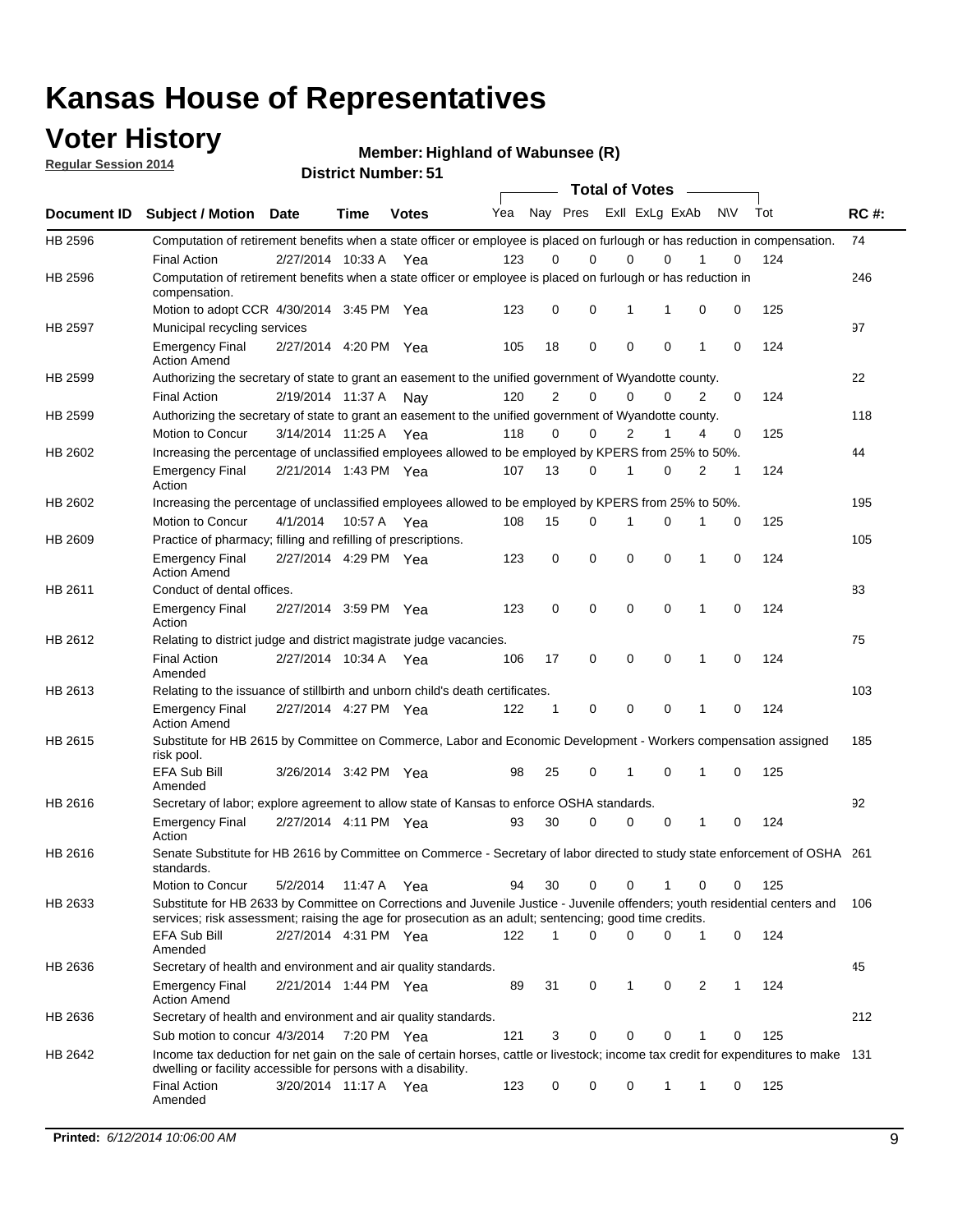### **Voter History**

**Regular Session 2014**

**Highland of Wabunsee (R)**

|  | <b>District Number: 51</b> |  |
|--|----------------------------|--|
|--|----------------------------|--|

|             |                                                                                                                                                                                                                                       |                       | ו ט ו שטוווטרו ועו ווסוש |              |     |              |             | <b>Total of Votes</b> |             |              |           |     |             |
|-------------|---------------------------------------------------------------------------------------------------------------------------------------------------------------------------------------------------------------------------------------|-----------------------|--------------------------|--------------|-----|--------------|-------------|-----------------------|-------------|--------------|-----------|-----|-------------|
| Document ID | <b>Subject / Motion Date</b>                                                                                                                                                                                                          |                       | Time                     | <b>Votes</b> | Yea | Nay Pres     |             | Exll ExLg ExAb        |             |              | <b>NV</b> | Tot | <b>RC#:</b> |
| HB 2596     | Computation of retirement benefits when a state officer or employee is placed on furlough or has reduction in compensation.                                                                                                           |                       |                          |              |     |              |             |                       |             |              |           |     | 74          |
|             | <b>Final Action</b>                                                                                                                                                                                                                   | 2/27/2014 10:33 A     |                          | Yea          | 123 | 0            | $\Omega$    | $\mathbf 0$           | $\Omega$    |              | 0         | 124 |             |
| HB 2596     | Computation of retirement benefits when a state officer or employee is placed on furlough or has reduction in<br>compensation.                                                                                                        |                       |                          |              |     |              |             |                       |             |              |           |     | 246         |
|             | Motion to adopt CCR 4/30/2014 3:45 PM Yea                                                                                                                                                                                             |                       |                          |              | 123 | 0            | 0           | 1                     |             | 0            | 0         | 125 |             |
| HB 2597     | Municipal recycling services                                                                                                                                                                                                          |                       |                          |              |     |              |             |                       |             |              |           |     | 97          |
|             | <b>Emergency Final</b><br><b>Action Amend</b>                                                                                                                                                                                         | 2/27/2014 4:20 PM Yea |                          |              | 105 | 18           | 0           | $\mathbf 0$           | $\mathbf 0$ | 1            | 0         | 124 |             |
| HB 2599     | Authorizing the secretary of state to grant an easement to the unified government of Wyandotte county.                                                                                                                                |                       |                          |              |     |              |             |                       |             |              |           |     | 22          |
|             | <b>Final Action</b>                                                                                                                                                                                                                   | 2/19/2014 11:37 A Nay |                          |              | 120 | 2            | 0           | $\mathbf 0$           | 0           | 2            | 0         | 124 |             |
| HB 2599     | Authorizing the secretary of state to grant an easement to the unified government of Wyandotte county.                                                                                                                                |                       |                          |              |     |              |             |                       |             |              |           |     | 118         |
|             | Motion to Concur                                                                                                                                                                                                                      | 3/14/2014 11:25 A Yea |                          |              | 118 | 0            | 0           | 2                     | 1           | 4            | 0         | 125 |             |
| HB 2602     | Increasing the percentage of unclassified employees allowed to be employed by KPERS from 25% to 50%.                                                                                                                                  |                       |                          |              |     |              |             |                       |             |              |           |     | 44          |
|             | <b>Emergency Final</b><br>Action                                                                                                                                                                                                      | 2/21/2014 1:43 PM Yea |                          |              | 107 | 13           | 0           | 1                     | 0           | 2            | 1         | 124 |             |
| HB 2602     | Increasing the percentage of unclassified employees allowed to be employed by KPERS from 25% to 50%.                                                                                                                                  |                       |                          |              |     |              |             |                       |             |              |           |     | 195         |
|             | Motion to Concur                                                                                                                                                                                                                      | 4/1/2014              | 10:57 A                  | Yea          | 108 | 15           | 0           | 1                     | 0           | 1            | 0         | 125 |             |
| HB 2609     | Practice of pharmacy; filling and refilling of prescriptions.                                                                                                                                                                         |                       |                          |              |     |              |             |                       |             |              |           |     | 105         |
|             | <b>Emergency Final</b><br><b>Action Amend</b>                                                                                                                                                                                         | 2/27/2014 4:29 PM Yea |                          |              | 123 | 0            | $\mathbf 0$ | $\mathbf 0$           | 0           | $\mathbf{1}$ | 0         | 124 |             |
| HB 2611     | Conduct of dental offices.                                                                                                                                                                                                            |                       |                          |              |     |              |             |                       |             |              |           |     | 83          |
|             | <b>Emergency Final</b><br>Action                                                                                                                                                                                                      | 2/27/2014 3:59 PM Yea |                          |              | 123 | 0            | $\mathbf 0$ | $\mathbf 0$           | 0           | 1            | 0         | 124 |             |
| HB 2612     | Relating to district judge and district magistrate judge vacancies.                                                                                                                                                                   |                       |                          |              |     |              |             |                       |             |              |           |     | 75          |
|             | <b>Final Action</b><br>Amended                                                                                                                                                                                                        | 2/27/2014 10:34 A     |                          | Yea          | 106 | 17           | $\mathbf 0$ | $\mathbf 0$           | $\mathbf 0$ | 1            | $\Omega$  | 124 |             |
| HB 2613     | Relating to the issuance of stillbirth and unborn child's death certificates.                                                                                                                                                         |                       |                          |              |     |              |             |                       |             |              |           |     | 103         |
|             | <b>Emergency Final</b><br><b>Action Amend</b>                                                                                                                                                                                         | 2/27/2014 4:27 PM Yea |                          |              | 122 | $\mathbf{1}$ | 0           | $\mathbf 0$           | 0           | 1            | 0         | 124 |             |
| HB 2615     | Substitute for HB 2615 by Committee on Commerce, Labor and Economic Development - Workers compensation assigned<br>risk pool.                                                                                                         |                       |                          |              |     |              |             |                       |             |              |           |     | 185         |
|             | EFA Sub Bill<br>Amended                                                                                                                                                                                                               | 3/26/2014 3:42 PM Yea |                          |              | 98  | 25           | 0           | 1                     | 0           | 1            | 0         | 125 |             |
| HB 2616     | Secretary of labor; explore agreement to allow state of Kansas to enforce OSHA standards.                                                                                                                                             |                       |                          |              |     |              |             |                       |             |              |           |     | 92          |
|             | <b>Emergency Final</b><br>Action                                                                                                                                                                                                      | 2/27/2014 4:11 PM Yea |                          |              | 93  | 30           | 0           | $\mathbf 0$           | $\mathbf 0$ | 1            | 0         | 124 |             |
| HB 2616     | Senate Substitute for HB 2616 by Committee on Commerce - Secretary of labor directed to study state enforcement of OSHA 261<br>standards.                                                                                             |                       |                          |              |     |              |             |                       |             |              |           |     |             |
|             | Motion to Concur                                                                                                                                                                                                                      | 5/2/2014              | 11:47 A Yea              |              | 94  | 30           | 0           | $\mathbf 0$           | 1           | 0            | 0         | 125 |             |
| HB 2633     | Substitute for HB 2633 by Committee on Corrections and Juvenile Justice - Juvenile offenders; youth residential centers and<br>services; risk assessment; raising the age for prosecution as an adult; sentencing; good time credits. |                       |                          |              |     |              |             |                       |             |              |           |     | - 106       |
|             | EFA Sub Bill<br>Amended                                                                                                                                                                                                               | 2/27/2014 4:31 PM Yea |                          |              | 122 | $\mathbf 1$  | $\Omega$    | $\mathbf 0$           | 0           | 1            | 0         | 124 |             |
| HB 2636     | Secretary of health and environment and air quality standards.                                                                                                                                                                        |                       |                          |              |     |              |             |                       |             |              |           |     | 45          |
|             | <b>Emergency Final</b><br><b>Action Amend</b>                                                                                                                                                                                         | 2/21/2014 1:44 PM Yea |                          |              | 89  | 31           | 0           | 1                     | 0           | 2            | 1         | 124 |             |
| HB 2636     | Secretary of health and environment and air quality standards.                                                                                                                                                                        |                       |                          |              |     |              |             |                       |             |              |           |     | 212         |
|             | Sub motion to concur 4/3/2014                                                                                                                                                                                                         |                       | 7:20 PM Yea              |              | 121 | 3            | 0           | 0                     | 0           | 1            | 0         | 125 |             |
| HB 2642     | Income tax deduction for net gain on the sale of certain horses, cattle or livestock; income tax credit for expenditures to make 131                                                                                                  |                       |                          |              |     |              |             |                       |             |              |           |     |             |
|             | dwelling or facility accessible for persons with a disability.<br><b>Final Action</b>                                                                                                                                                 | 3/20/2014 11:17 A Yea |                          |              | 123 | 0            | 0           | 0                     | 1           | 1            | 0         | 125 |             |
|             | Amended                                                                                                                                                                                                                               |                       |                          |              |     |              |             |                       |             |              |           |     |             |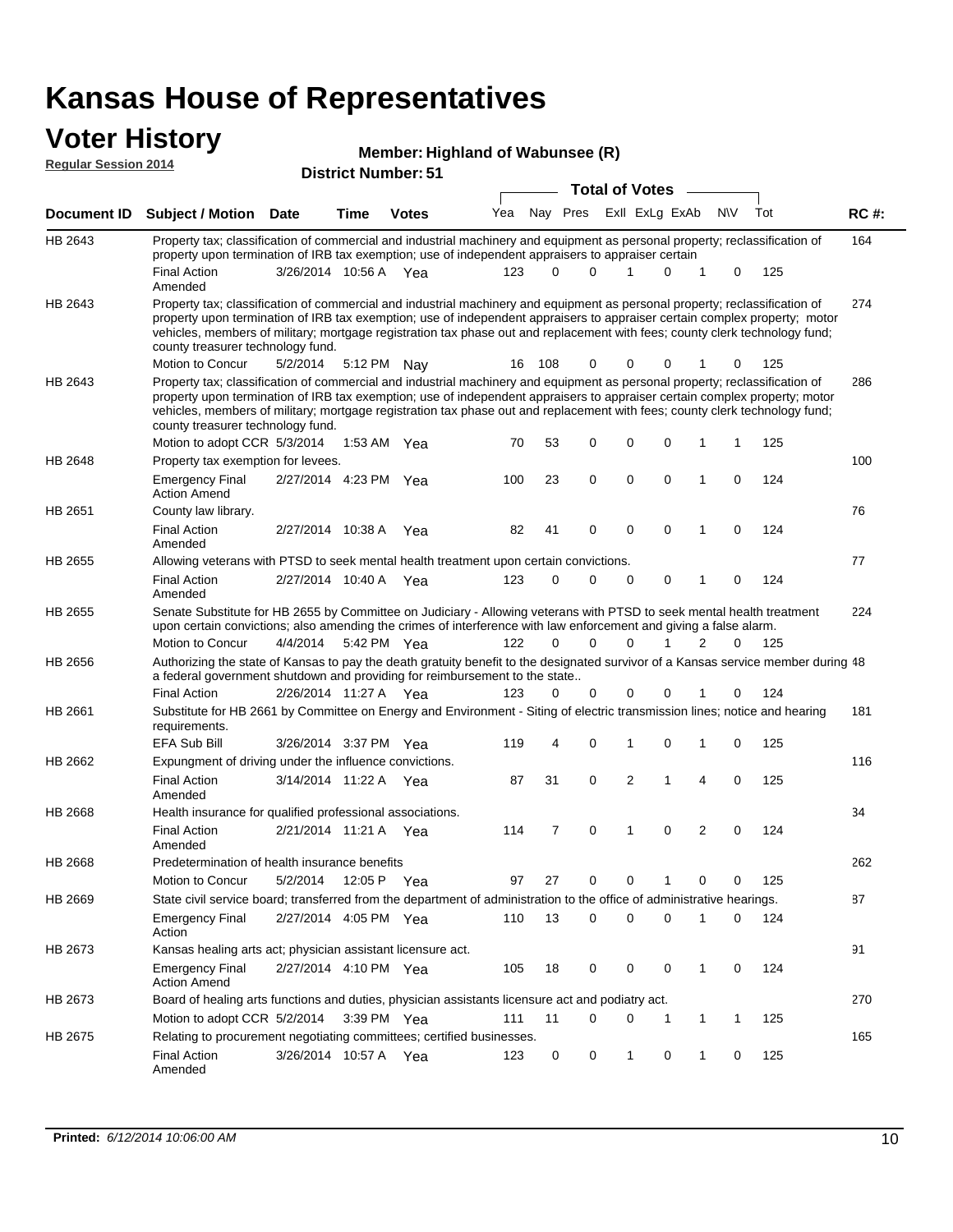### **Voter History**

#### **Highland of Wabunsee (R)**

| <b>Regular Session 2014</b> |                                                                                                                                                                                                                                                                                                                                                                                                                                                               |                       |      | <b>Member: Fightang or Wabunsee (R)</b> |     |                |             |                       |                |                |             |     |             |
|-----------------------------|---------------------------------------------------------------------------------------------------------------------------------------------------------------------------------------------------------------------------------------------------------------------------------------------------------------------------------------------------------------------------------------------------------------------------------------------------------------|-----------------------|------|-----------------------------------------|-----|----------------|-------------|-----------------------|----------------|----------------|-------------|-----|-------------|
|                             |                                                                                                                                                                                                                                                                                                                                                                                                                                                               |                       |      | <b>District Number: 51</b>              |     |                |             | <b>Total of Votes</b> |                |                |             |     |             |
|                             | Document ID Subject / Motion Date                                                                                                                                                                                                                                                                                                                                                                                                                             |                       | Time | <b>Votes</b>                            | Yea |                | Nay Pres    |                       | Exll ExLg ExAb | <b>NV</b>      |             | Tot | <b>RC#:</b> |
| HB 2643                     | Property tax; classification of commercial and industrial machinery and equipment as personal property; reclassification of<br>property upon termination of IRB tax exemption; use of independent appraisers to appraiser certain                                                                                                                                                                                                                             |                       |      |                                         |     |                |             |                       |                |                |             |     | 164         |
|                             | <b>Final Action</b><br>Amended                                                                                                                                                                                                                                                                                                                                                                                                                                | 3/26/2014 10:56 A     |      | - Yea                                   | 123 | $\Omega$       | $\Omega$    | 1                     | $\Omega$       | 1              | 0           | 125 |             |
| HB 2643                     | Property tax; classification of commercial and industrial machinery and equipment as personal property; reclassification of<br>property upon termination of IRB tax exemption; use of independent appraisers to appraiser certain complex property; motor<br>vehicles, members of military; mortgage registration tax phase out and replacement with fees; county clerk technology fund;<br>county treasurer technology fund.                                 |                       |      |                                         |     |                |             |                       |                |                |             |     | 274         |
|                             | Motion to Concur                                                                                                                                                                                                                                                                                                                                                                                                                                              | 5/2/2014              |      | 5:12 PM Nay                             | 16  | 108            | 0           | $\mathbf 0$           | 0              |                | 0           | 125 |             |
| HB 2643                     | Property tax; classification of commercial and industrial machinery and equipment as personal property; reclassification of<br>property upon termination of IRB tax exemption; use of independent appraisers to appraiser certain complex property; motor<br>vehicles, members of military; mortgage registration tax phase out and replacement with fees; county clerk technology fund;<br>county treasurer technology fund.<br>Motion to adopt CCR 5/3/2014 |                       |      | 1:53 AM $Yea$                           | 70  | 53             | 0           | $\mathbf 0$           | $\mathbf 0$    | 1              | 1           | 125 | 286         |
| HB 2648                     | Property tax exemption for levees.                                                                                                                                                                                                                                                                                                                                                                                                                            |                       |      |                                         |     |                |             |                       |                |                |             |     | 100         |
|                             | <b>Emergency Final</b><br><b>Action Amend</b>                                                                                                                                                                                                                                                                                                                                                                                                                 | 2/27/2014 4:23 PM Yea |      |                                         | 100 | 23             | 0           | $\mathbf 0$           | 0              | 1              | 0           | 124 |             |
| HB 2651                     | County law library.                                                                                                                                                                                                                                                                                                                                                                                                                                           |                       |      |                                         |     |                |             |                       |                |                |             |     | 76          |
|                             | <b>Final Action</b><br>Amended                                                                                                                                                                                                                                                                                                                                                                                                                                | 2/27/2014 10:38 A     |      | Yea                                     | 82  | 41             | $\mathbf 0$ | $\mathbf 0$           | $\mathbf 0$    | 1              | $\mathbf 0$ | 124 |             |
| HB 2655                     | Allowing veterans with PTSD to seek mental health treatment upon certain convictions.                                                                                                                                                                                                                                                                                                                                                                         |                       |      |                                         |     |                |             |                       |                |                |             |     | 77          |
|                             | <b>Final Action</b><br>Amended                                                                                                                                                                                                                                                                                                                                                                                                                                | 2/27/2014 10:40 A Yea |      |                                         | 123 | 0              | 0           | 0                     | 0              | 1              | 0           | 124 |             |
| HB 2655                     | Senate Substitute for HB 2655 by Committee on Judiciary - Allowing veterans with PTSD to seek mental health treatment<br>upon certain convictions; also amending the crimes of interference with law enforcement and giving a false alarm.                                                                                                                                                                                                                    |                       |      |                                         |     |                |             |                       |                |                |             |     | 224         |
|                             | Motion to Concur                                                                                                                                                                                                                                                                                                                                                                                                                                              | 4/4/2014              |      | 5:42 PM Yea                             | 122 | $\mathbf 0$    | $\mathbf 0$ | $\mathbf 0$           | 1              | $\overline{2}$ | 0           | 125 |             |
| HB 2656                     | Authorizing the state of Kansas to pay the death gratuity benefit to the designated survivor of a Kansas service member during 48<br>a federal government shutdown and providing for reimbursement to the state                                                                                                                                                                                                                                               |                       |      |                                         |     |                |             |                       |                |                |             |     |             |
|                             | <b>Final Action</b><br>Substitute for HB 2661 by Committee on Energy and Environment - Siting of electric transmission lines; notice and hearing                                                                                                                                                                                                                                                                                                              | 2/26/2014 11:27 A     |      | Yea                                     | 123 | $\Omega$       | 0           | $\mathbf 0$           | 0              |                | 0           | 124 |             |
| HB 2661                     | requirements.<br>EFA Sub Bill                                                                                                                                                                                                                                                                                                                                                                                                                                 | 3/26/2014 3:37 PM Yea |      |                                         | 119 | 4              | 0           | 1                     | $\Omega$       | 1              | 0           | 125 | 181         |
| HB 2662                     | Expungment of driving under the influence convictions.                                                                                                                                                                                                                                                                                                                                                                                                        |                       |      |                                         |     |                |             |                       |                |                |             |     | 116         |
|                             | <b>Final Action</b><br>Amended                                                                                                                                                                                                                                                                                                                                                                                                                                | 3/14/2014 11:22 A Yea |      |                                         | 87  | 31             | 0           | $\overline{2}$        | 1              | 4              | 0           | 125 |             |
| HB 2668                     | Health insurance for qualified professional associations.                                                                                                                                                                                                                                                                                                                                                                                                     |                       |      |                                         |     |                |             |                       |                |                |             |     | 34          |
|                             | <b>Final Action</b><br>Amended                                                                                                                                                                                                                                                                                                                                                                                                                                | 2/21/2014 11:21 A     |      | Yea                                     | 114 | $\overline{7}$ | 0           | 1                     | 0              | 2              | 0           | 124 |             |
| HB 2668                     | Predetermination of health insurance benefits                                                                                                                                                                                                                                                                                                                                                                                                                 |                       |      |                                         |     |                |             |                       |                |                |             |     | 262         |
|                             | Motion to Concur                                                                                                                                                                                                                                                                                                                                                                                                                                              | 5/2/2014              |      | 12:05 P Yea                             | 97  | 27             | 0           | 0                     | 1              | 0              | 0           | 125 |             |
| HB 2669                     | State civil service board; transferred from the department of administration to the office of administrative hearings.                                                                                                                                                                                                                                                                                                                                        |                       |      |                                         |     |                |             |                       |                |                |             |     | 87          |
|                             | <b>Emergency Final</b><br>Action                                                                                                                                                                                                                                                                                                                                                                                                                              | 2/27/2014 4:05 PM Yea |      |                                         | 110 | 13             | $\mathbf 0$ | 0                     | 0              | 1              | 0           | 124 |             |
| HB 2673                     | Kansas healing arts act; physician assistant licensure act.                                                                                                                                                                                                                                                                                                                                                                                                   |                       |      |                                         |     |                |             |                       |                |                |             |     | 91          |
|                             | <b>Emergency Final</b><br><b>Action Amend</b>                                                                                                                                                                                                                                                                                                                                                                                                                 | 2/27/2014 4:10 PM Yea |      |                                         | 105 | 18             | $\mathbf 0$ | 0                     | 0              | $\mathbf{1}$   | 0           | 124 |             |
| HB 2673                     | Board of healing arts functions and duties, physician assistants licensure act and podiatry act.                                                                                                                                                                                                                                                                                                                                                              |                       |      |                                         |     |                |             |                       |                |                |             |     | 270         |
|                             | Motion to adopt CCR 5/2/2014 3:39 PM Yea                                                                                                                                                                                                                                                                                                                                                                                                                      |                       |      |                                         | 111 | 11             | 0           | 0                     | 1              | 1              | 1           | 125 |             |
| HB 2675                     | Relating to procurement negotiating committees; certified businesses.                                                                                                                                                                                                                                                                                                                                                                                         |                       |      |                                         |     |                |             |                       |                |                |             |     | 165         |
|                             | <b>Final Action</b><br>Amended                                                                                                                                                                                                                                                                                                                                                                                                                                | 3/26/2014 10:57 A Yea |      |                                         | 123 | 0              | 0           | 1                     | 0              | 1              | 0           | 125 |             |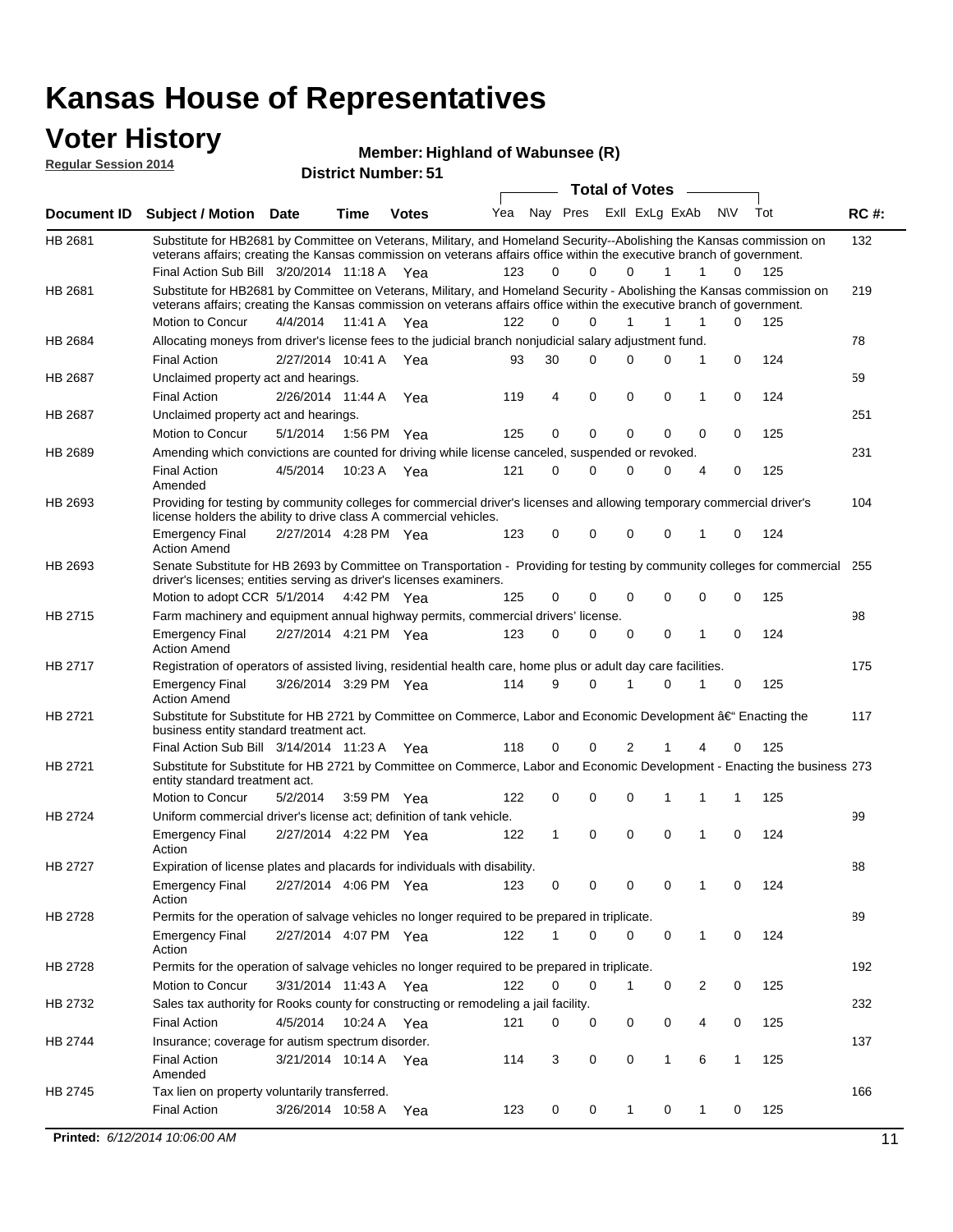#### **Voter History Regular Session 2014**

**Highland of Wabunsee (R)**

|                    |                                                                                                                                                                                                                                                                                               |                       |         | <b>District Number: 51</b> |     |             |          |                  |   |                |                   |     |             |
|--------------------|-----------------------------------------------------------------------------------------------------------------------------------------------------------------------------------------------------------------------------------------------------------------------------------------------|-----------------------|---------|----------------------------|-----|-------------|----------|------------------|---|----------------|-------------------|-----|-------------|
|                    |                                                                                                                                                                                                                                                                                               |                       |         |                            |     |             |          | Total of Votes – |   |                |                   |     |             |
| <b>Document ID</b> | Subject / Motion Date                                                                                                                                                                                                                                                                         |                       | Time    | <b>Votes</b>               | Yea |             | Nay Pres |                  |   | Exll ExLg ExAb | N\V               | Tot | <b>RC#:</b> |
| HB 2681            | Substitute for HB2681 by Committee on Veterans, Military, and Homeland Security--Abolishing the Kansas commission on<br>veterans affairs; creating the Kansas commission on veterans affairs office within the executive branch of government.<br>Final Action Sub Bill 3/20/2014 11:18 A Yea |                       |         |                            | 123 | 0           | $\Omega$ |                  | 0 | 1              | 1<br>0            | 125 | 132         |
| HB 2681            | Substitute for HB2681 by Committee on Veterans, Military, and Homeland Security - Abolishing the Kansas commission on                                                                                                                                                                         |                       |         |                            |     |             |          |                  |   |                |                   |     | 219         |
|                    | veterans affairs; creating the Kansas commission on veterans affairs office within the executive branch of government.                                                                                                                                                                        |                       |         |                            |     |             |          |                  |   |                |                   |     |             |
|                    | Motion to Concur                                                                                                                                                                                                                                                                              | 4/4/2014              | 11:41 A | Yea                        | 122 | $\Omega$    | $\Omega$ | 1                |   | 1              | $\Omega$<br>1     | 125 |             |
| HB 2684            | Allocating moneys from driver's license fees to the judicial branch nonjudicial salary adjustment fund.                                                                                                                                                                                       |                       |         |                            |     |             |          |                  |   |                |                   |     | 78          |
|                    | <b>Final Action</b>                                                                                                                                                                                                                                                                           | 2/27/2014 10:41 A     |         | Yea                        | 93  | 30          | $\Omega$ | 0                |   | $\Omega$       | 1<br>0            | 124 |             |
| HB 2687            | Unclaimed property act and hearings.                                                                                                                                                                                                                                                          |                       |         |                            |     |             |          |                  |   |                |                   |     | 59          |
|                    | <b>Final Action</b>                                                                                                                                                                                                                                                                           | 2/26/2014 11:44 A     |         | Yea                        | 119 | 4           | 0        | 0                |   | 0              | 0<br>1            | 124 |             |
| HB 2687            | Unclaimed property act and hearings.                                                                                                                                                                                                                                                          |                       |         |                            |     |             |          |                  |   |                |                   |     | 251         |
|                    | Motion to Concur                                                                                                                                                                                                                                                                              | 5/1/2014              |         | 1:56 PM Yea                | 125 | $\mathbf 0$ | 0        | 0                |   | 0              | 0<br>0            | 125 |             |
| HB 2689            | Amending which convictions are counted for driving while license canceled, suspended or revoked.                                                                                                                                                                                              |                       |         |                            |     |             |          |                  |   |                |                   |     | 231         |
|                    | <b>Final Action</b><br>Amended                                                                                                                                                                                                                                                                | 4/5/2014              | 10:23 A | Yea                        | 121 | 0           | $\Omega$ | 0                |   | $\Omega$       | 4<br>0            | 125 |             |
| HB 2693            | Providing for testing by community colleges for commercial driver's licenses and allowing temporary commercial driver's<br>license holders the ability to drive class A commercial vehicles.                                                                                                  |                       |         |                            |     |             |          |                  |   |                |                   |     | 104         |
|                    | <b>Emergency Final</b><br><b>Action Amend</b>                                                                                                                                                                                                                                                 | 2/27/2014 4:28 PM Yea |         |                            | 123 | 0           | $\Omega$ | 0                |   | 0              | 0<br>1            | 124 |             |
| HB 2693            | Senate Substitute for HB 2693 by Committee on Transportation - Providing for testing by community colleges for commercial 255<br>driver's licenses; entities serving as driver's licenses examiners.                                                                                          |                       |         |                            |     |             |          |                  |   |                |                   |     |             |
|                    | Motion to adopt CCR 5/1/2014 4:42 PM Yea                                                                                                                                                                                                                                                      |                       |         |                            | 125 | 0           | 0        | 0                |   | 0              | 0<br>0            | 125 |             |
| HB 2715            | Farm machinery and equipment annual highway permits, commercial drivers' license.                                                                                                                                                                                                             |                       |         |                            |     |             |          |                  |   |                |                   |     | 98          |
|                    | <b>Emergency Final</b><br><b>Action Amend</b>                                                                                                                                                                                                                                                 | 2/27/2014 4:21 PM Yea |         |                            | 123 | 0           | $\Omega$ | 0                |   | 0              | 1<br>0            | 124 |             |
| HB 2717            | Registration of operators of assisted living, residential health care, home plus or adult day care facilities.                                                                                                                                                                                |                       |         |                            |     |             |          |                  |   |                |                   |     | 175         |
|                    | <b>Emergency Final</b><br><b>Action Amend</b>                                                                                                                                                                                                                                                 | 3/26/2014 3:29 PM Yea |         |                            | 114 | 9           | $\Omega$ |                  |   | 0              | 1<br>0            | 125 |             |
| HB 2721            | Substitute for Substitute for HB 2721 by Committee on Commerce, Labor and Economic Development †Enacting the<br>business entity standard treatment act.<br>Final Action Sub Bill 3/14/2014 11:23 A Yea                                                                                        |                       |         |                            | 118 | 0           | 0        | 2                |   |                | 0<br>4            | 125 | 117         |
|                    |                                                                                                                                                                                                                                                                                               |                       |         |                            |     |             |          |                  |   |                |                   |     |             |
| HB 2721            | Substitute for Substitute for HB 2721 by Committee on Commerce, Labor and Economic Development - Enacting the business 273<br>entity standard treatment act.<br>Motion to Concur                                                                                                              | 5/2/2014              |         | 3:59 PM Yea                | 122 | 0           | 0        | 0                |   | 1              | 1<br>1            | 125 |             |
| <b>HB 2724</b>     | Uniform commercial driver's license act; definition of tank vehicle.                                                                                                                                                                                                                          |                       |         |                            |     |             |          |                  |   |                |                   |     | 99          |
|                    | <b>Emergency Final</b><br>Action                                                                                                                                                                                                                                                              | 2/27/2014 4:22 PM Yea |         |                            | 122 | 1           | 0        | $\mathbf 0$      |   | 0              | 0<br>1            | 124 |             |
| HB 2727            | Expiration of license plates and placards for individuals with disability.                                                                                                                                                                                                                    |                       |         |                            |     |             |          |                  |   |                |                   |     | 88          |
|                    | <b>Emergency Final</b><br>Action                                                                                                                                                                                                                                                              | 2/27/2014 4:06 PM Yea |         |                            | 123 | 0           | 0        | 0                |   | 0              | 1<br>0            | 124 |             |
| HB 2728            | Permits for the operation of salvage vehicles no longer required to be prepared in triplicate.                                                                                                                                                                                                |                       |         |                            |     |             |          |                  |   |                |                   |     | 89          |
|                    | <b>Emergency Final</b><br>Action                                                                                                                                                                                                                                                              | 2/27/2014 4:07 PM Yea |         |                            | 122 | 1           | 0        | 0                |   | 0              | 0<br>1            | 124 |             |
| HB 2728            | Permits for the operation of salvage vehicles no longer required to be prepared in triplicate.                                                                                                                                                                                                |                       |         |                            |     |             |          |                  |   |                |                   |     | 192         |
|                    | <b>Motion to Concur</b>                                                                                                                                                                                                                                                                       | 3/31/2014 11:43 A Yea |         |                            | 122 | 0           | 0        | 1                |   | 0              | 2<br>0            | 125 |             |
| HB 2732            | Sales tax authority for Rooks county for constructing or remodeling a jail facility.                                                                                                                                                                                                          |                       |         |                            |     |             |          |                  |   |                |                   |     | 232         |
|                    | <b>Final Action</b>                                                                                                                                                                                                                                                                           | 4/5/2014              |         | 10:24 A Yea                | 121 | 0           | 0        | 0                |   | 0              | 0<br>4            | 125 |             |
| HB 2744            | Insurance; coverage for autism spectrum disorder.                                                                                                                                                                                                                                             |                       |         |                            |     |             |          |                  |   |                |                   |     | 137         |
|                    | <b>Final Action</b><br>Amended                                                                                                                                                                                                                                                                | 3/21/2014 10:14 A Yea |         |                            | 114 | 3           | 0        | 0                |   | $\mathbf{1}$   | 6<br>$\mathbf{1}$ | 125 |             |
|                    |                                                                                                                                                                                                                                                                                               |                       |         |                            |     |             |          |                  |   |                |                   |     |             |
| HB 2745            | Tax lien on property voluntarily transferred.                                                                                                                                                                                                                                                 |                       |         |                            |     |             |          |                  |   |                |                   |     | 166         |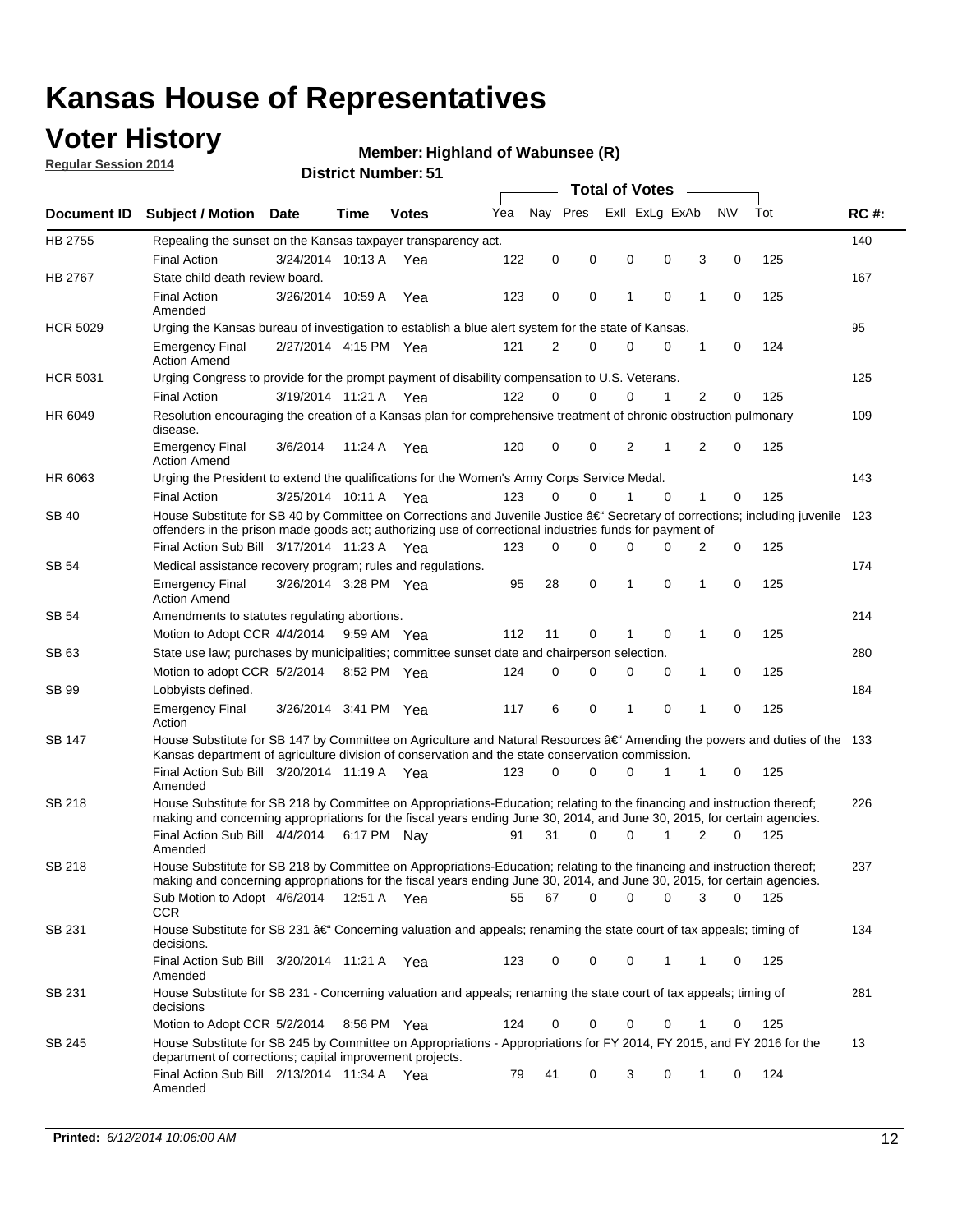### **Voter History**

**Regular Session 2014**

#### **Highland of Wabunsee (R)**

|                    |                                                                                                                                                                                                                                      |                       |             |              |     | <b>Total of Votes</b> |          |   |                |             |           |             |     |             |  |
|--------------------|--------------------------------------------------------------------------------------------------------------------------------------------------------------------------------------------------------------------------------------|-----------------------|-------------|--------------|-----|-----------------------|----------|---|----------------|-------------|-----------|-------------|-----|-------------|--|
| <b>Document ID</b> | <b>Subject / Motion</b>                                                                                                                                                                                                              | <b>Date</b>           | Time        | <b>Votes</b> | Yea | Nay Pres              |          |   | Exll ExLg ExAb |             | <b>NV</b> |             | Tot | <b>RC#:</b> |  |
| HB 2755            | Repealing the sunset on the Kansas taxpayer transparency act.                                                                                                                                                                        |                       |             |              |     |                       |          |   |                |             |           |             |     | 140         |  |
|                    | <b>Final Action</b>                                                                                                                                                                                                                  | 3/24/2014 10:13 A     |             | Yea          | 122 | 0                     | 0        | 0 |                | 0           | 3         | 0           | 125 |             |  |
| HB 2767            | State child death review board.                                                                                                                                                                                                      |                       |             |              |     |                       |          |   |                |             |           |             |     | 167         |  |
|                    | <b>Final Action</b><br>Amended                                                                                                                                                                                                       | 3/26/2014 10:59 A     |             | Yea          | 123 | $\mathbf 0$           | 0        | 1 |                | 0           | 1         | 0           | 125 |             |  |
| <b>HCR 5029</b>    | Urging the Kansas bureau of investigation to establish a blue alert system for the state of Kansas.                                                                                                                                  |                       |             |              |     |                       |          |   |                |             |           |             |     | 95          |  |
|                    | <b>Emergency Final</b><br><b>Action Amend</b>                                                                                                                                                                                        | 2/27/2014 4:15 PM Yea |             |              | 121 | 2                     | 0        | 0 |                | 0           | 1         | 0           | 124 |             |  |
| <b>HCR 5031</b>    | Urging Congress to provide for the prompt payment of disability compensation to U.S. Veterans.                                                                                                                                       |                       |             |              |     |                       |          |   |                |             |           |             |     | 125         |  |
|                    | <b>Final Action</b>                                                                                                                                                                                                                  | 3/19/2014 11:21 A Yea |             |              | 122 | $\Omega$              | 0        | 0 |                | 1           | 2         | 0           | 125 |             |  |
| HR 6049            | Resolution encouraging the creation of a Kansas plan for comprehensive treatment of chronic obstruction pulmonary<br>disease.                                                                                                        |                       |             |              |     |                       |          |   |                |             |           |             |     | 109         |  |
|                    | <b>Emergency Final</b><br><b>Action Amend</b>                                                                                                                                                                                        | 3/6/2014              | 11:24 A     | Yea          | 120 | 0                     | 0        | 2 |                | 1           | 2         | 0           | 125 |             |  |
| HR 6063            | Urging the President to extend the qualifications for the Women's Army Corps Service Medal.                                                                                                                                          |                       |             |              |     |                       |          |   |                |             |           |             |     | 143         |  |
|                    | <b>Final Action</b>                                                                                                                                                                                                                  | 3/25/2014 10:11 A Yea |             |              | 123 | $\Omega$              | $\Omega$ | 1 |                | $\Omega$    | 1         | 0           | 125 |             |  |
| SB 40              | House Substitute for SB 40 by Committee on Corrections and Juvenile Justice †Secretary of corrections; including juvenile<br>offenders in the prison made goods act; authorizing use of correctional industries funds for payment of |                       |             |              |     |                       |          |   |                |             |           |             |     | 123         |  |
|                    | Final Action Sub Bill 3/17/2014 11:23 A Yea                                                                                                                                                                                          |                       |             |              | 123 | 0                     | 0        | 0 |                | 0           | 2         | 0           | 125 |             |  |
| SB 54              | Medical assistance recovery program; rules and regulations.                                                                                                                                                                          |                       |             |              |     |                       |          |   |                |             |           |             |     | 174         |  |
|                    | <b>Emergency Final</b><br><b>Action Amend</b>                                                                                                                                                                                        | 3/26/2014 3:28 PM Yea |             |              | 95  | 28                    | 0        | 1 |                | 0           | 1         | $\mathbf 0$ | 125 |             |  |
| SB 54              | Amendments to statutes regulating abortions.                                                                                                                                                                                         |                       |             |              |     |                       |          |   |                |             |           |             |     | 214         |  |
|                    | Motion to Adopt CCR 4/4/2014                                                                                                                                                                                                         |                       | 9:59 AM Yea |              | 112 | 11                    | 0        | 1 |                | 0           | 1         | 0           | 125 |             |  |
| SB 63              | State use law; purchases by municipalities; committee sunset date and chairperson selection.                                                                                                                                         |                       |             |              |     |                       |          |   |                |             |           |             |     | 280         |  |
|                    | Motion to adopt CCR 5/2/2014                                                                                                                                                                                                         |                       | 8:52 PM Yea |              | 124 | $\mathbf 0$           | 0        | 0 |                | 0           | 1         | 0           | 125 |             |  |
| <b>SB 99</b>       | Lobbyists defined.                                                                                                                                                                                                                   |                       |             |              |     |                       |          |   |                |             |           |             |     | 184         |  |
|                    | <b>Emergency Final</b><br>Action                                                                                                                                                                                                     | 3/26/2014 3:41 PM Yea |             |              | 117 | 6                     | 0        | 1 |                | 0           | 1         | 0           | 125 |             |  |
| SB 147             | House Substitute for SB 147 by Committee on Agriculture and Natural Resources †Amending the powers and duties of the 133<br>Kansas department of agriculture division of conservation and the state conservation commission.         |                       |             |              |     |                       |          |   |                |             |           |             |     |             |  |
|                    | Final Action Sub Bill 3/20/2014 11:19 A Yea<br>Amended                                                                                                                                                                               |                       |             |              | 123 | 0                     | 0        | 0 |                | 1           | 1         | 0           | 125 |             |  |
| <b>SB 218</b>      | House Substitute for SB 218 by Committee on Appropriations-Education; relating to the financing and instruction thereof;                                                                                                             |                       |             |              |     |                       |          |   |                |             |           |             |     | 226         |  |
|                    | making and concerning appropriations for the fiscal years ending June 30, 2014, and June 30, 2015, for certain agencies.<br>Final Action Sub Bill 4/4/2014 6:17 PM Nay                                                               |                       |             |              | 91  | 31                    | 0        | 0 |                | 1           | 2         | 0           | 125 |             |  |
|                    | Amended                                                                                                                                                                                                                              |                       |             |              |     |                       |          |   |                |             |           |             |     |             |  |
| <b>SB 218</b>      | House Substitute for SB 218 by Committee on Appropriations-Education; relating to the financing and instruction thereof;                                                                                                             |                       |             |              |     |                       |          |   |                |             |           |             |     | 237         |  |
|                    | making and concerning appropriations for the fiscal years ending June 30, 2014, and June 30, 2015, for certain agencies.                                                                                                             |                       |             |              |     |                       |          |   |                |             |           |             |     |             |  |
|                    | Sub Motion to Adopt 4/6/2014 12:51 A Yea<br><b>CCR</b>                                                                                                                                                                               |                       |             |              | 55  | 67                    | 0        | 0 |                | 0           | 3         | 0           | 125 |             |  |
| SB 231             | House Substitute for SB 231 †Concerning valuation and appeals; renaming the state court of tax appeals; timing of<br>decisions.                                                                                                      |                       |             |              |     |                       |          |   |                |             |           |             |     | 134         |  |
|                    | Final Action Sub Bill 3/20/2014 11:21 A Yea<br>Amended                                                                                                                                                                               |                       |             |              | 123 | 0                     | 0        |   | 0              | 1           | 1         | 0           | 125 |             |  |
| SB 231             | House Substitute for SB 231 - Concerning valuation and appeals; renaming the state court of tax appeals; timing of<br>decisions                                                                                                      |                       |             |              |     |                       |          |   |                |             |           |             |     | 281         |  |
|                    | Motion to Adopt CCR 5/2/2014 8:56 PM Yea                                                                                                                                                                                             |                       |             |              | 124 | 0                     | 0        | 0 |                | 0           | 1         | 0           | 125 |             |  |
| SB 245             | House Substitute for SB 245 by Committee on Appropriations - Appropriations for FY 2014, FY 2015, and FY 2016 for the<br>department of corrections; capital improvement projects.                                                    |                       |             |              |     |                       |          |   |                |             |           |             |     | 13          |  |
|                    | Final Action Sub Bill 2/13/2014 11:34 A Yea<br>Amended                                                                                                                                                                               |                       |             |              | 79  | 41                    | 0        |   | 3              | $\mathbf 0$ | 1         | 0           | 124 |             |  |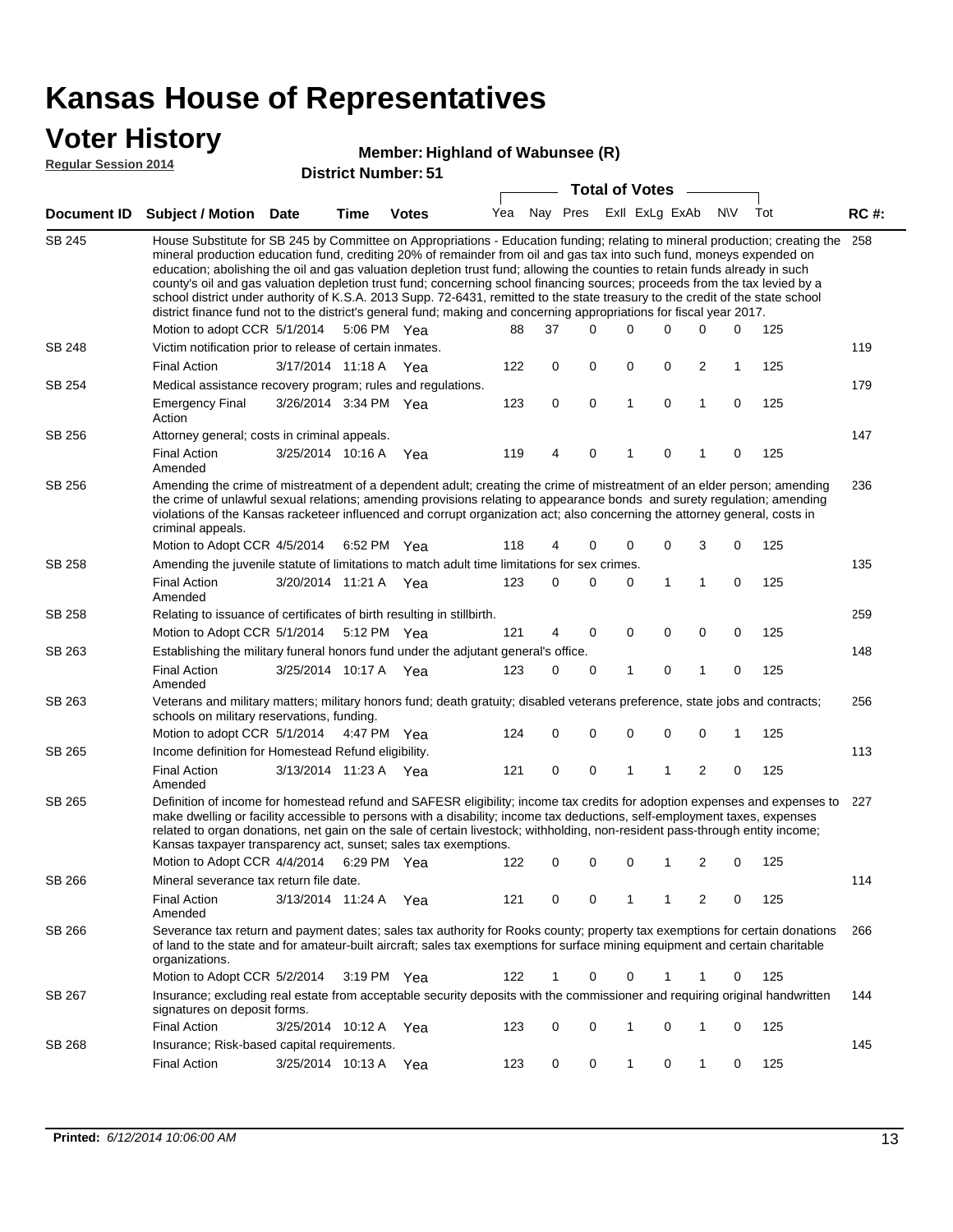### **Voter History**

#### **Highland of Wabunsee (R)**

**Regular Session 2014**

|               |                                                                                                                                                                                                                                                                                                                                                                                                                                                                                                                                                                                                                                                                                                                                                                                                               |                       |             | <b>DISUILLE MUILINGLE</b> |     |    | <b>Total of Votes</b>       |              |   |             |     |     |             |
|---------------|---------------------------------------------------------------------------------------------------------------------------------------------------------------------------------------------------------------------------------------------------------------------------------------------------------------------------------------------------------------------------------------------------------------------------------------------------------------------------------------------------------------------------------------------------------------------------------------------------------------------------------------------------------------------------------------------------------------------------------------------------------------------------------------------------------------|-----------------------|-------------|---------------------------|-----|----|-----------------------------|--------------|---|-------------|-----|-----|-------------|
| Document ID   | <b>Subject / Motion Date</b>                                                                                                                                                                                                                                                                                                                                                                                                                                                                                                                                                                                                                                                                                                                                                                                  |                       | <b>Time</b> | <b>Votes</b>              |     |    | Yea Nay Pres ExII ExLg ExAb |              |   |             | N\V | Tot | <b>RC#:</b> |
| <b>SB 245</b> | House Substitute for SB 245 by Committee on Appropriations - Education funding; relating to mineral production; creating the<br>mineral production education fund, crediting 20% of remainder from oil and gas tax into such fund, moneys expended on<br>education; abolishing the oil and gas valuation depletion trust fund; allowing the counties to retain funds already in such<br>county's oil and gas valuation depletion trust fund; concerning school financing sources; proceeds from the tax levied by a<br>school district under authority of K.S.A. 2013 Supp. 72-6431, remitted to the state treasury to the credit of the state school<br>district finance fund not to the district's general fund; making and concerning appropriations for fiscal year 2017.<br>Motion to adopt CCR 5/1/2014 |                       | 5:06 PM Yea |                           | 88  | 37 | $\Omega$                    | $\Omega$     | 0 | 0           | 0   | 125 | 258         |
| SB 248        | Victim notification prior to release of certain inmates.                                                                                                                                                                                                                                                                                                                                                                                                                                                                                                                                                                                                                                                                                                                                                      |                       |             |                           |     |    |                             |              |   |             |     |     | 119         |
|               | <b>Final Action</b>                                                                                                                                                                                                                                                                                                                                                                                                                                                                                                                                                                                                                                                                                                                                                                                           | 3/17/2014 11:18 A     |             | Yea                       | 122 | 0  | 0                           | 0            | 0 | 2           | 1   | 125 |             |
| SB 254        | Medical assistance recovery program; rules and regulations.                                                                                                                                                                                                                                                                                                                                                                                                                                                                                                                                                                                                                                                                                                                                                   |                       |             |                           |     |    |                             |              |   |             |     |     | 179         |
|               | <b>Emergency Final</b><br>Action                                                                                                                                                                                                                                                                                                                                                                                                                                                                                                                                                                                                                                                                                                                                                                              | 3/26/2014 3:34 PM Yea |             |                           | 123 | 0  | $\mathbf 0$                 | $\mathbf{1}$ | 0 | 1           | 0   | 125 |             |
| SB 256        | Attorney general; costs in criminal appeals.                                                                                                                                                                                                                                                                                                                                                                                                                                                                                                                                                                                                                                                                                                                                                                  |                       |             |                           |     |    |                             |              |   |             |     |     | 147         |
|               | <b>Final Action</b><br>Amended                                                                                                                                                                                                                                                                                                                                                                                                                                                                                                                                                                                                                                                                                                                                                                                | 3/25/2014 10:16 A     |             | Yea                       | 119 | 4  | 0                           | 1            | 0 |             | 0   | 125 |             |
| SB 256        | Amending the crime of mistreatment of a dependent adult; creating the crime of mistreatment of an elder person; amending<br>the crime of unlawful sexual relations; amending provisions relating to appearance bonds and surety regulation; amending<br>violations of the Kansas racketeer influenced and corrupt organization act; also concerning the attorney general, costs in<br>criminal appeals.                                                                                                                                                                                                                                                                                                                                                                                                       |                       | 6:52 PM Yea |                           |     | 4  | 0                           | 0            | 0 | 3           |     |     | 236         |
| SB 258        | Motion to Adopt CCR 4/5/2014<br>Amending the juvenile statute of limitations to match adult time limitations for sex crimes.                                                                                                                                                                                                                                                                                                                                                                                                                                                                                                                                                                                                                                                                                  |                       |             |                           | 118 |    |                             |              |   |             | 0   | 125 | 135         |
|               | <b>Final Action</b><br>Amended                                                                                                                                                                                                                                                                                                                                                                                                                                                                                                                                                                                                                                                                                                                                                                                | 3/20/2014 11:21 A Yea |             |                           | 123 | 0  | 0                           | 0            | 1 | 1           | 0   | 125 |             |
| SB 258        | Relating to issuance of certificates of birth resulting in stillbirth.                                                                                                                                                                                                                                                                                                                                                                                                                                                                                                                                                                                                                                                                                                                                        |                       |             |                           |     |    |                             |              |   |             |     |     | 259         |
|               | Motion to Adopt CCR 5/1/2014                                                                                                                                                                                                                                                                                                                                                                                                                                                                                                                                                                                                                                                                                                                                                                                  |                       | 5:12 PM Yea |                           | 121 | 4  | 0                           | 0            | 0 | $\mathbf 0$ | 0   | 125 |             |
| SB 263        | Establishing the military funeral honors fund under the adjutant general's office.                                                                                                                                                                                                                                                                                                                                                                                                                                                                                                                                                                                                                                                                                                                            |                       |             |                           |     |    |                             |              |   |             |     |     | 148         |
|               | <b>Final Action</b><br>Amended                                                                                                                                                                                                                                                                                                                                                                                                                                                                                                                                                                                                                                                                                                                                                                                | 3/25/2014 10:17 A Yea |             |                           | 123 | 0  | 0                           | 1            | 0 | 1           | 0   | 125 |             |
| SB 263        | Veterans and military matters; military honors fund; death gratuity; disabled veterans preference, state jobs and contracts;<br>schools on military reservations, funding.                                                                                                                                                                                                                                                                                                                                                                                                                                                                                                                                                                                                                                    |                       |             |                           |     |    |                             |              |   |             |     |     | 256         |
|               | Motion to adopt CCR 5/1/2014 4:47 PM Yea                                                                                                                                                                                                                                                                                                                                                                                                                                                                                                                                                                                                                                                                                                                                                                      |                       |             |                           | 124 | 0  | 0                           | 0            | 0 | 0           | 1   | 125 |             |
| SB 265        | Income definition for Homestead Refund eligibility.                                                                                                                                                                                                                                                                                                                                                                                                                                                                                                                                                                                                                                                                                                                                                           |                       |             |                           |     |    |                             |              |   |             |     |     | 113         |
|               | <b>Final Action</b><br>Amended                                                                                                                                                                                                                                                                                                                                                                                                                                                                                                                                                                                                                                                                                                                                                                                | 3/13/2014 11:23 A Yea |             |                           | 121 | 0  | 0                           | 1            | 1 | 2           | 0   | 125 |             |
| SB 265        | Definition of income for homestead refund and SAFESR eligibility; income tax credits for adoption expenses and expenses to<br>make dwelling or facility accessible to persons with a disability; income tax deductions, self-employment taxes, expenses<br>related to organ donations, net gain on the sale of certain livestock; withholding, non-resident pass-through entity income;<br>Kansas taxpayer transparency act, sunset; sales tax exemptions.<br>Motion to Adopt CCR 4/4/2014 6:29 PM Yea                                                                                                                                                                                                                                                                                                        |                       |             |                           | 122 | 0  | 0                           | 0            | 1 | 2           | 0   | 125 | 227         |
| SB 266        | Mineral severance tax return file date.                                                                                                                                                                                                                                                                                                                                                                                                                                                                                                                                                                                                                                                                                                                                                                       |                       |             |                           |     |    |                             |              |   |             |     |     | 114         |
|               | <b>Final Action</b><br>Amended                                                                                                                                                                                                                                                                                                                                                                                                                                                                                                                                                                                                                                                                                                                                                                                | 3/13/2014 11:24 A     |             | Yea                       | 121 | 0  | 0                           | 1            | 1 | 2           | 0   | 125 |             |
| SB 266        | Severance tax return and payment dates; sales tax authority for Rooks county; property tax exemptions for certain donations<br>of land to the state and for amateur-built aircraft; sales tax exemptions for surface mining equipment and certain charitable<br>organizations.                                                                                                                                                                                                                                                                                                                                                                                                                                                                                                                                |                       |             |                           |     |    |                             |              |   |             |     |     | 266         |
|               | Motion to Adopt CCR 5/2/2014                                                                                                                                                                                                                                                                                                                                                                                                                                                                                                                                                                                                                                                                                                                                                                                  |                       | 3:19 PM Yea |                           | 122 | 1  | 0                           | 0            |   |             | 0   | 125 |             |
| SB 267        | Insurance; excluding real estate from acceptable security deposits with the commissioner and requiring original handwritten<br>signatures on deposit forms.                                                                                                                                                                                                                                                                                                                                                                                                                                                                                                                                                                                                                                                   |                       |             |                           |     |    |                             |              |   |             |     |     | 144         |
|               | <b>Final Action</b>                                                                                                                                                                                                                                                                                                                                                                                                                                                                                                                                                                                                                                                                                                                                                                                           | 3/25/2014 10:12 A Yea |             |                           | 123 | 0  | 0                           | 1            | 0 | 1           | 0   | 125 |             |
| SB 268        | Insurance; Risk-based capital requirements.                                                                                                                                                                                                                                                                                                                                                                                                                                                                                                                                                                                                                                                                                                                                                                   |                       |             |                           |     |    |                             |              |   |             |     |     | 145         |
|               | <b>Final Action</b>                                                                                                                                                                                                                                                                                                                                                                                                                                                                                                                                                                                                                                                                                                                                                                                           | 3/25/2014 10:13 A     |             | Yea                       | 123 | 0  | 0                           | 1            | 0 | 1           | 0   | 125 |             |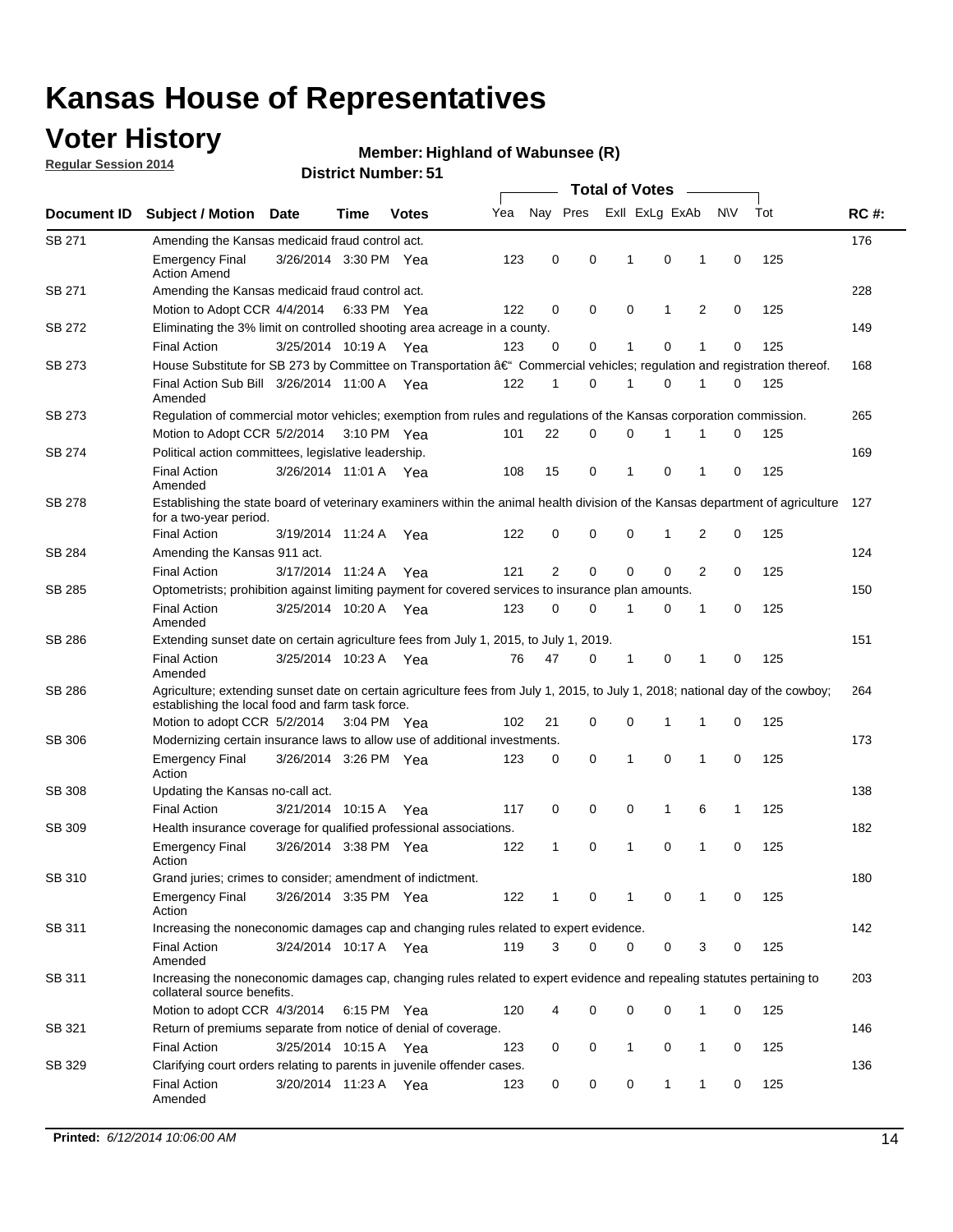### **Voter History**

**Regular Session 2014**

#### **Highland of Wabunsee (R)**

|               |                                                                                                                                                                                    |                       | <b>Total of Votes</b> |       |     |                |          |                |             |                |             |     |             |
|---------------|------------------------------------------------------------------------------------------------------------------------------------------------------------------------------------|-----------------------|-----------------------|-------|-----|----------------|----------|----------------|-------------|----------------|-------------|-----|-------------|
| Document ID   | <b>Subject / Motion Date</b>                                                                                                                                                       |                       | Time                  | Votes | Yea | Nay Pres       |          | Exll ExLg ExAb |             |                | <b>NV</b>   | Tot | <b>RC#:</b> |
| SB 271        | Amending the Kansas medicaid fraud control act.                                                                                                                                    |                       |                       |       |     |                |          |                |             |                |             |     | 176         |
|               | <b>Emergency Final</b><br><b>Action Amend</b>                                                                                                                                      | 3/26/2014 3:30 PM Yea |                       |       | 123 | 0              | 0        | 1              | $\mathbf 0$ | 1              | $\mathbf 0$ | 125 |             |
| SB 271        | Amending the Kansas medicaid fraud control act.                                                                                                                                    |                       |                       |       |     |                |          |                |             |                |             |     | 228         |
|               | Motion to Adopt CCR 4/4/2014 6:33 PM Yea                                                                                                                                           |                       |                       |       | 122 | 0              | 0        | $\mathbf 0$    | 1           | $\overline{2}$ | 0           | 125 |             |
| SB 272        | Eliminating the 3% limit on controlled shooting area acreage in a county.                                                                                                          |                       |                       |       |     |                |          |                |             |                |             |     | 149         |
|               | <b>Final Action</b>                                                                                                                                                                | 3/25/2014 10:19 A Yea |                       |       | 123 | 0              | 0        | 1              | $\mathbf 0$ | 1              | $\mathbf 0$ | 125 |             |
| SB 273        | House Substitute for SB 273 by Committee on Transportation †Commercial vehicles; regulation and registration thereof.                                                              |                       |                       |       |     |                |          |                |             |                |             |     | 168         |
|               | Final Action Sub Bill 3/26/2014 11:00 A Yea<br>Amended                                                                                                                             |                       |                       |       | 122 | 1              | 0        | 1              | 0           | 1              | 0           | 125 |             |
| SB 273        | Regulation of commercial motor vehicles; exemption from rules and regulations of the Kansas corporation commission.                                                                |                       |                       |       |     |                |          |                |             |                |             |     | 265         |
|               | Motion to Adopt CCR 5/2/2014                                                                                                                                                       |                       | 3:10 PM Yea           |       | 101 | 22             | 0        | 0              |             |                | 0           | 125 |             |
| SB 274        | Political action committees, legislative leadership.                                                                                                                               |                       |                       |       |     |                |          |                |             |                |             |     | 169         |
|               | <b>Final Action</b><br>Amended                                                                                                                                                     | 3/26/2014 11:01 A Yea |                       |       | 108 | 15             | 0        | 1              | $\mathbf 0$ | 1              | 0           | 125 |             |
| <b>SB 278</b> | Establishing the state board of veterinary examiners within the animal health division of the Kansas department of agriculture<br>for a two-year period.                           |                       |                       |       |     |                |          |                |             |                |             |     | 127         |
|               | <b>Final Action</b>                                                                                                                                                                | 3/19/2014 11:24 A     |                       | Yea   | 122 | 0              | 0        | 0              | 1           | 2              | $\mathbf 0$ | 125 |             |
| SB 284        | Amending the Kansas 911 act.                                                                                                                                                       |                       |                       |       |     |                |          |                |             |                |             |     | 124         |
|               | <b>Final Action</b>                                                                                                                                                                | 3/17/2014 11:24 A     |                       | Yea   | 121 | $\overline{2}$ | 0        | $\mathbf 0$    | $\mathbf 0$ | 2              | $\mathbf 0$ | 125 |             |
| SB 285        | Optometrists; prohibition against limiting payment for covered services to insurance plan amounts.                                                                                 |                       |                       |       |     |                |          |                |             |                |             |     | 150         |
|               | <b>Final Action</b><br>Amended                                                                                                                                                     | 3/25/2014 10:20 A Yea |                       |       | 123 | 0              | 0        | 1              | 0           | 1              | 0           | 125 |             |
| SB 286        | Extending sunset date on certain agriculture fees from July 1, 2015, to July 1, 2019.                                                                                              |                       |                       |       |     |                |          |                |             |                |             |     | 151         |
|               | <b>Final Action</b><br>Amended                                                                                                                                                     | 3/25/2014 10:23 A Yea |                       |       | 76  | 47             | 0        | 1              | $\mathbf 0$ | 1              | $\mathbf 0$ | 125 |             |
| SB 286        | Agriculture; extending sunset date on certain agriculture fees from July 1, 2015, to July 1, 2018; national day of the cowboy;<br>establishing the local food and farm task force. |                       |                       |       |     |                |          |                |             |                |             |     | 264         |
|               | Motion to adopt CCR 5/2/2014 3:04 PM Yea                                                                                                                                           |                       |                       |       | 102 | 21             | 0        | $\mathbf 0$    | 1           | 1              | 0           | 125 |             |
| SB 306        | Modernizing certain insurance laws to allow use of additional investments.                                                                                                         |                       |                       |       |     |                |          |                |             |                |             |     | 173         |
|               | <b>Emergency Final</b>                                                                                                                                                             | 3/26/2014 3:26 PM Yea |                       |       | 123 | 0              | 0        | 1              | 0           | 1              | $\mathbf 0$ | 125 |             |
|               | Action                                                                                                                                                                             |                       |                       |       |     |                |          |                |             |                |             |     |             |
| <b>SB 308</b> | Updating the Kansas no-call act.                                                                                                                                                   |                       |                       |       |     |                |          |                |             |                |             |     | 138         |
|               | <b>Final Action</b>                                                                                                                                                                | 3/21/2014 10:15 A     |                       | Yea   | 117 | 0              | 0        | 0              | 1           | 6              | 1           | 125 |             |
| SB 309        | Health insurance coverage for qualified professional associations.                                                                                                                 |                       |                       |       |     |                |          |                |             |                |             |     | 182         |
|               | <b>Emergency Final</b><br>Action                                                                                                                                                   | 3/26/2014 3:38 PM Yea |                       |       | 122 | 1              | 0        | 1              | $\mathbf 0$ | 1              | $\mathbf 0$ | 125 |             |
| SB 310        | Grand juries; crimes to consider; amendment of indictment.                                                                                                                         |                       |                       |       |     |                |          |                |             |                |             |     | 180         |
|               | <b>Emergency Final</b><br>Action                                                                                                                                                   | 3/26/2014 3:35 PM Yea |                       |       | 122 |                | 0        |                | 0           | 1              | 0           | 125 |             |
| SB 311        | Increasing the noneconomic damages cap and changing rules related to expert evidence.                                                                                              |                       |                       |       |     |                |          |                |             |                |             |     | 142         |
|               | <b>Final Action</b><br>Amended                                                                                                                                                     | 3/24/2014 10:17 A Yea |                       |       | 119 | 3              | $\Omega$ | 0              | 0           | 3              | 0           | 125 |             |
| SB 311        | Increasing the noneconomic damages cap, changing rules related to expert evidence and repealing statutes pertaining to<br>collateral source benefits.                              |                       |                       |       |     |                |          |                |             |                |             |     | 203         |
|               | Motion to adopt CCR 4/3/2014 6:15 PM Yea                                                                                                                                           |                       |                       |       | 120 | 4              | 0        | 0              | 0           | 1              | 0           | 125 |             |
| SB 321        | Return of premiums separate from notice of denial of coverage.                                                                                                                     |                       |                       |       |     |                |          |                |             |                |             |     | 146         |
|               | <b>Final Action</b>                                                                                                                                                                | 3/25/2014 10:15 A Yea |                       |       | 123 | 0              | 0        | 1              | 0           | $\mathbf{1}$   | 0           | 125 |             |
| SB 329        | Clarifying court orders relating to parents in juvenile offender cases.<br><b>Final Action</b>                                                                                     | 3/20/2014 11:23 A Yea |                       |       | 123 | 0              | 0        | 0              | 1           | 1              | 0           | 125 | 136         |
|               | Amended                                                                                                                                                                            |                       |                       |       |     |                |          |                |             |                |             |     |             |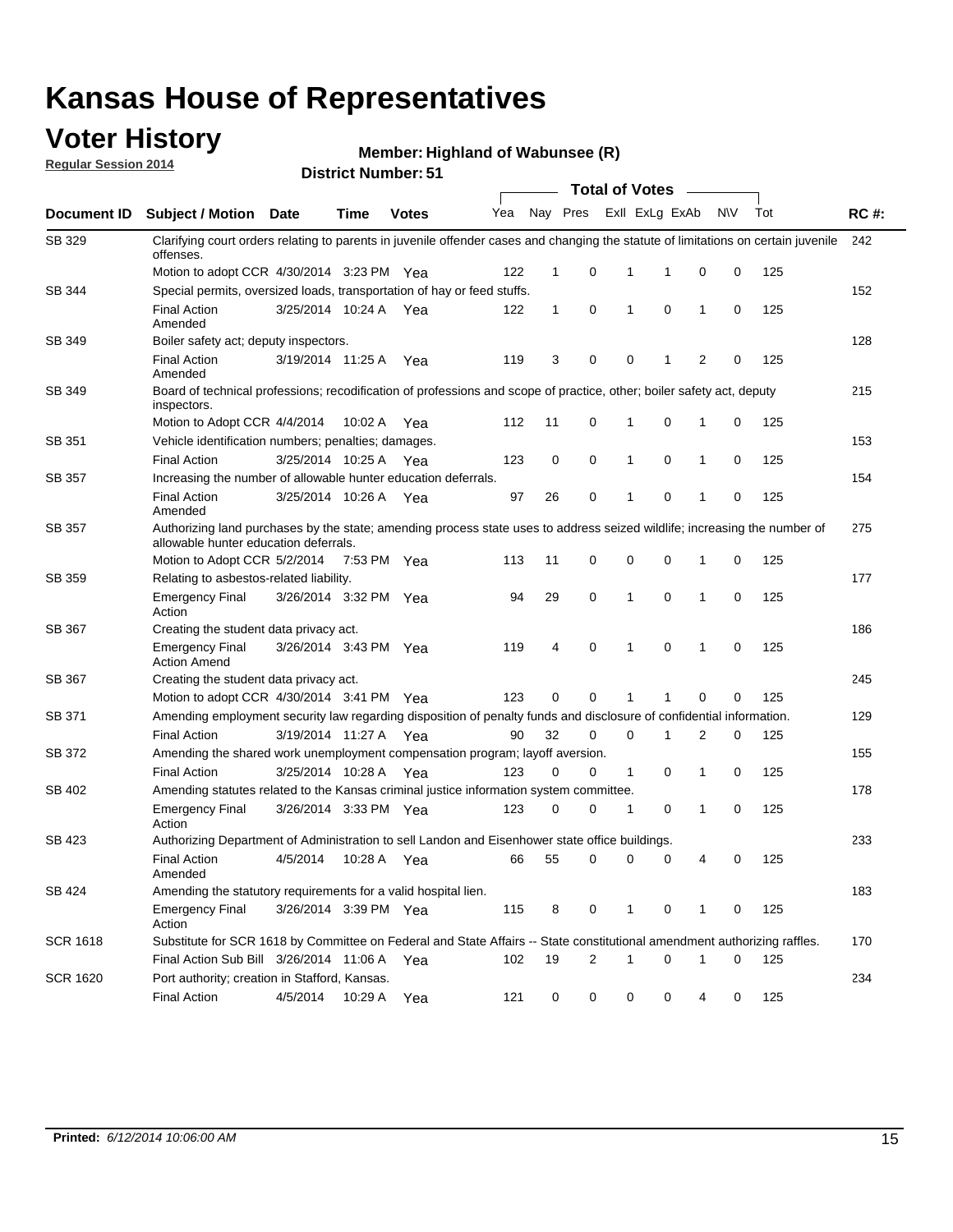### **Voter History**

**Regular Session 2014**

#### **Highland of Wabunsee (R)**

|                 |                                                                                                                                                                    |                       |             |              |     |              |   | <b>Total of Votes</b> |                |              |           |     |             |
|-----------------|--------------------------------------------------------------------------------------------------------------------------------------------------------------------|-----------------------|-------------|--------------|-----|--------------|---|-----------------------|----------------|--------------|-----------|-----|-------------|
|                 | Document ID Subject / Motion Date                                                                                                                                  |                       | Time        | <b>Votes</b> | Yea | Nay Pres     |   |                       | Exll ExLg ExAb |              | <b>NV</b> | Tot | <b>RC#:</b> |
| SB 329          | Clarifying court orders relating to parents in juvenile offender cases and changing the statute of limitations on certain juvenile<br>offenses.                    |                       |             |              |     |              |   |                       |                |              |           |     | 242         |
|                 | Motion to adopt CCR 4/30/2014 3:23 PM Yea                                                                                                                          |                       |             |              | 122 | $\mathbf 1$  | 0 | 1                     | -1             | 0            | 0         | 125 |             |
| SB 344          | Special permits, oversized loads, transportation of hay or feed stuffs.                                                                                            |                       |             |              |     |              |   |                       |                |              |           |     | 152         |
|                 | <b>Final Action</b><br>Amended                                                                                                                                     | 3/25/2014 10:24 A     |             | Yea          | 122 | $\mathbf{1}$ | 0 | $\mathbf{1}$          | 0              | $\mathbf{1}$ | 0         | 125 |             |
| <b>SB 349</b>   | Boiler safety act; deputy inspectors.                                                                                                                              |                       |             |              |     |              |   |                       |                |              |           |     | 128         |
|                 | <b>Final Action</b><br>Amended                                                                                                                                     | 3/19/2014 11:25 A     |             | Yea          | 119 | 3            | 0 | 0                     | 1              | 2            | 0         | 125 |             |
| SB 349          | Board of technical professions; recodification of professions and scope of practice, other; boiler safety act, deputy<br>inspectors.                               |                       |             |              |     |              |   |                       |                |              |           |     | 215         |
|                 | Motion to Adopt CCR 4/4/2014                                                                                                                                       |                       | 10:02 A     | Yea          | 112 | 11           | 0 | 1                     | 0              | 1            | 0         | 125 |             |
| SB 351          | Vehicle identification numbers; penalties; damages.                                                                                                                |                       |             |              |     |              |   |                       |                |              |           |     | 153         |
|                 | <b>Final Action</b>                                                                                                                                                | 3/25/2014 10:25 A     |             | Yea          | 123 | 0            | 0 | 1                     | 0              | 1            | 0         | 125 |             |
| SB 357          | Increasing the number of allowable hunter education deferrals.                                                                                                     |                       |             |              |     |              |   |                       |                |              |           |     | 154         |
|                 | <b>Final Action</b><br>Amended                                                                                                                                     | 3/25/2014 10:26 A     |             | Yea          | 97  | 26           | 0 | $\mathbf{1}$          | 0              | 1            | 0         | 125 |             |
| SB 357          | Authorizing land purchases by the state; amending process state uses to address seized wildlife; increasing the number of<br>allowable hunter education deferrals. |                       |             |              |     |              |   |                       |                |              |           |     | 275         |
|                 | Motion to Adopt CCR 5/2/2014                                                                                                                                       |                       | 7:53 PM Yea |              | 113 | 11           | 0 | 0                     | $\mathbf 0$    | 1            | 0         | 125 |             |
| SB 359          | Relating to asbestos-related liability.                                                                                                                            |                       |             |              |     |              |   |                       |                |              |           |     | 177         |
|                 | <b>Emergency Final</b><br>Action                                                                                                                                   | 3/26/2014 3:32 PM Yea |             |              | 94  | 29           | 0 | 1                     | $\Omega$       | 1            | 0         | 125 |             |
| <b>SB 367</b>   | Creating the student data privacy act.                                                                                                                             |                       |             |              |     |              |   |                       |                |              |           |     | 186         |
|                 | <b>Emergency Final</b><br><b>Action Amend</b>                                                                                                                      | 3/26/2014 3:43 PM Yea |             |              | 119 | 4            | 0 | $\mathbf{1}$          | 0              | 1            | 0         | 125 |             |
| SB 367          | Creating the student data privacy act.                                                                                                                             |                       |             |              |     |              |   |                       |                |              |           |     | 245         |
|                 | Motion to adopt CCR 4/30/2014 3:41 PM Yea                                                                                                                          |                       |             |              | 123 | 0            | 0 | 1                     | 1              | 0            | 0         | 125 |             |
| SB 371          | Amending employment security law regarding disposition of penalty funds and disclosure of confidential information.                                                |                       |             |              |     |              |   |                       |                |              |           |     | 129         |
|                 | <b>Final Action</b>                                                                                                                                                | 3/19/2014 11:27 A     |             | Yea          | 90  | 32           | 0 | $\mathbf 0$           | 1              | 2            | 0         | 125 |             |
| SB 372          | Amending the shared work unemployment compensation program; layoff aversion.                                                                                       |                       |             |              |     |              |   |                       |                |              |           |     | 155         |
|                 | <b>Final Action</b>                                                                                                                                                | 3/25/2014 10:28 A     |             | Yea          | 123 | 0            | 0 | 1                     | 0              | 1            | 0         | 125 |             |
| SB 402          | Amending statutes related to the Kansas criminal justice information system committee.                                                                             |                       |             |              |     |              |   |                       |                |              |           |     | 178         |
|                 | <b>Emergency Final</b><br>Action                                                                                                                                   | 3/26/2014 3:33 PM Yea |             |              | 123 | 0            | 0 | 1                     | 0              | $\mathbf{1}$ | 0         | 125 |             |
| SB 423          | Authorizing Department of Administration to sell Landon and Eisenhower state office buildings.                                                                     |                       |             |              |     |              |   |                       |                |              |           |     | 233         |
|                 | <b>Final Action</b><br>Amended                                                                                                                                     | 4/5/2014              | 10:28 A     | Yea          | 66  | 55           | 0 | 0                     | 0              | 4            | 0         | 125 |             |
| SB 424          | Amending the statutory requirements for a valid hospital lien.                                                                                                     |                       |             |              |     |              |   |                       |                |              |           |     | 183         |
|                 | <b>Emergency Final</b><br>Action                                                                                                                                   | 3/26/2014 3:39 PM Yea |             |              | 115 | 8            | 0 | 1                     | 0              | 1            | 0         | 125 |             |
| <b>SCR 1618</b> | Substitute for SCR 1618 by Committee on Federal and State Affairs -- State constitutional amendment authorizing raffles.                                           |                       |             |              |     |              |   |                       |                |              |           |     | 170         |
|                 | Final Action Sub Bill 3/26/2014 11:06 A Yea                                                                                                                        |                       |             |              | 102 | 19           | 2 | 1                     | 0              | 1            | 0         | 125 |             |
| <b>SCR 1620</b> | Port authority; creation in Stafford, Kansas.                                                                                                                      |                       |             |              |     |              |   |                       |                |              |           |     | 234         |
|                 | <b>Final Action</b>                                                                                                                                                | 4/5/2014              | 10:29 A     | Yea          | 121 | 0            | 0 | 0                     | 0              | 4            | 0         | 125 |             |